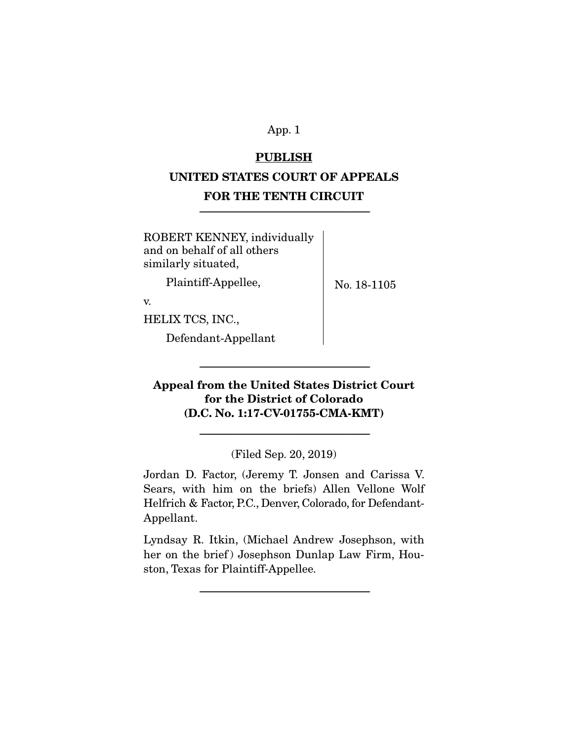### **PUBLISH**

# **UNITED STATES COURT OF APPEALS FOR THE TENTH CIRCUIT**

-------------------------------------------------------------------------------------------------------------

ROBERT KENNEY, individually and on behalf of all others similarly situated,

Plaintiff-Appellee,

No. 18-1105

v.

HELIX TCS, INC.,

Defendant-Appellant

# **Appeal from the United States District Court for the District of Colorado (D.C. No. 1:17-CV-01755-CMA-KMT)**

-------------------------------------------------------------------------------------------------------------

(Filed Sep. 20, 2019)

-------------------------------------------------------------------------------------------------------------

Jordan D. Factor, (Jeremy T. Jonsen and Carissa V. Sears, with him on the briefs) Allen Vellone Wolf Helfrich & Factor, P.C., Denver, Colorado, for Defendant-Appellant.

Lyndsay R. Itkin, (Michael Andrew Josephson, with her on the brief) Josephson Dunlap Law Firm, Houston, Texas for Plaintiff-Appellee.

-------------------------------------------------------------------------------------------------------------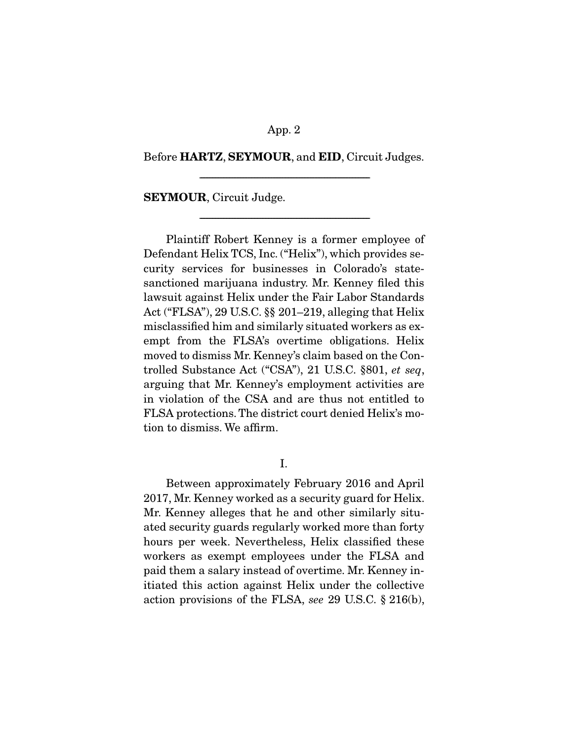#### Before **HARTZ**, **SEYMOUR**, and **EID**, Circuit Judges.

-------------------------------------------------------------------------------------------------------------

-------------------------------------------------------------------------------------------------------------

**SEYMOUR**, Circuit Judge.

 Plaintiff Robert Kenney is a former employee of Defendant Helix TCS, Inc. ("Helix"), which provides security services for businesses in Colorado's statesanctioned marijuana industry. Mr. Kenney filed this lawsuit against Helix under the Fair Labor Standards Act ("FLSA"), 29 U.S.C. §§ 201–219, alleging that Helix misclassified him and similarly situated workers as exempt from the FLSA's overtime obligations. Helix moved to dismiss Mr. Kenney's claim based on the Controlled Substance Act ("CSA"), 21 U.S.C. §801, et seq, arguing that Mr. Kenney's employment activities are in violation of the CSA and are thus not entitled to FLSA protections. The district court denied Helix's motion to dismiss. We affirm.

I.

 Between approximately February 2016 and April 2017, Mr. Kenney worked as a security guard for Helix. Mr. Kenney alleges that he and other similarly situated security guards regularly worked more than forty hours per week. Nevertheless, Helix classified these workers as exempt employees under the FLSA and paid them a salary instead of overtime. Mr. Kenney initiated this action against Helix under the collective action provisions of the FLSA, see 29 U.S.C. § 216(b),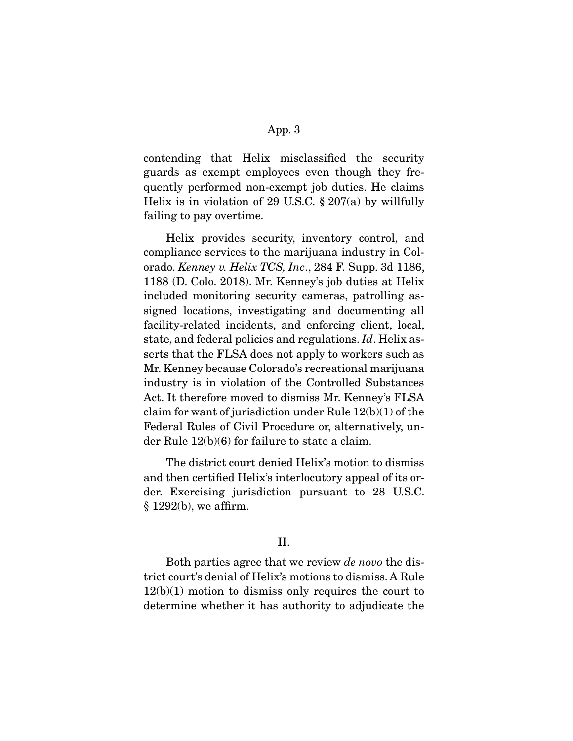contending that Helix misclassified the security guards as exempt employees even though they frequently performed non-exempt job duties. He claims Helix is in violation of 29 U.S.C.  $\S 207(a)$  by willfully failing to pay overtime.

 Helix provides security, inventory control, and compliance services to the marijuana industry in Colorado. Kenney v. Helix TCS, Inc., 284 F. Supp. 3d 1186, 1188 (D. Colo. 2018). Mr. Kenney's job duties at Helix included monitoring security cameras, patrolling assigned locations, investigating and documenting all facility-related incidents, and enforcing client, local, state, and federal policies and regulations. Id. Helix asserts that the FLSA does not apply to workers such as Mr. Kenney because Colorado's recreational marijuana industry is in violation of the Controlled Substances Act. It therefore moved to dismiss Mr. Kenney's FLSA claim for want of jurisdiction under Rule 12(b)(1) of the Federal Rules of Civil Procedure or, alternatively, under Rule 12(b)(6) for failure to state a claim.

 The district court denied Helix's motion to dismiss and then certified Helix's interlocutory appeal of its order. Exercising jurisdiction pursuant to 28 U.S.C. § 1292(b), we affirm.

#### II.

 Both parties agree that we review de novo the district court's denial of Helix's motions to dismiss. A Rule 12(b)(1) motion to dismiss only requires the court to determine whether it has authority to adjudicate the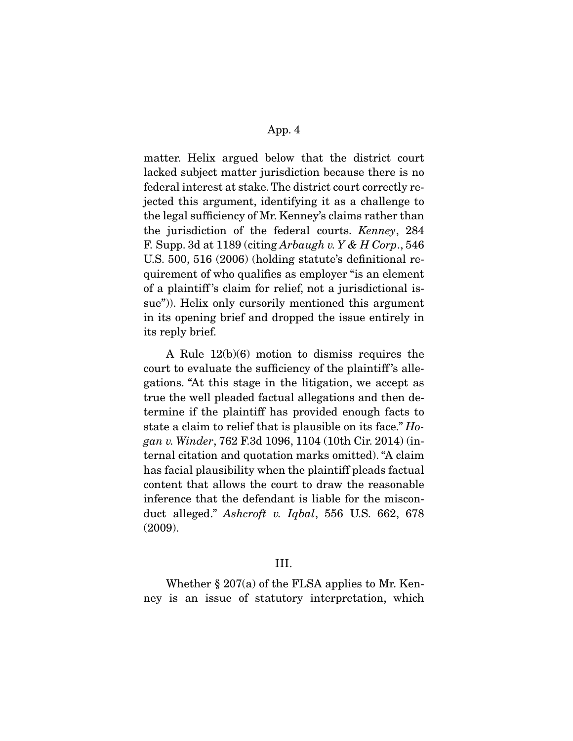matter. Helix argued below that the district court lacked subject matter jurisdiction because there is no federal interest at stake. The district court correctly rejected this argument, identifying it as a challenge to the legal sufficiency of Mr. Kenney's claims rather than the jurisdiction of the federal courts. Kenney, 284 F. Supp. 3d at  $1189$  (citing Arbaugh v. Y & H Corp., 546) U.S. 500, 516 (2006) (holding statute's definitional requirement of who qualifies as employer "is an element of a plaintiff 's claim for relief, not a jurisdictional issue")). Helix only cursorily mentioned this argument in its opening brief and dropped the issue entirely in its reply brief.

 A Rule 12(b)(6) motion to dismiss requires the court to evaluate the sufficiency of the plaintiff 's allegations. "At this stage in the litigation, we accept as true the well pleaded factual allegations and then determine if the plaintiff has provided enough facts to state a claim to relief that is plausible on its face." Hogan v. Winder, 762 F.3d 1096, 1104 (10th Cir. 2014) (internal citation and quotation marks omitted). "A claim has facial plausibility when the plaintiff pleads factual content that allows the court to draw the reasonable inference that the defendant is liable for the misconduct alleged." Ashcroft v. Iqbal, 556 U.S. 662, 678 (2009).

#### III.

Whether  $\S 207(a)$  of the FLSA applies to Mr. Kenney is an issue of statutory interpretation, which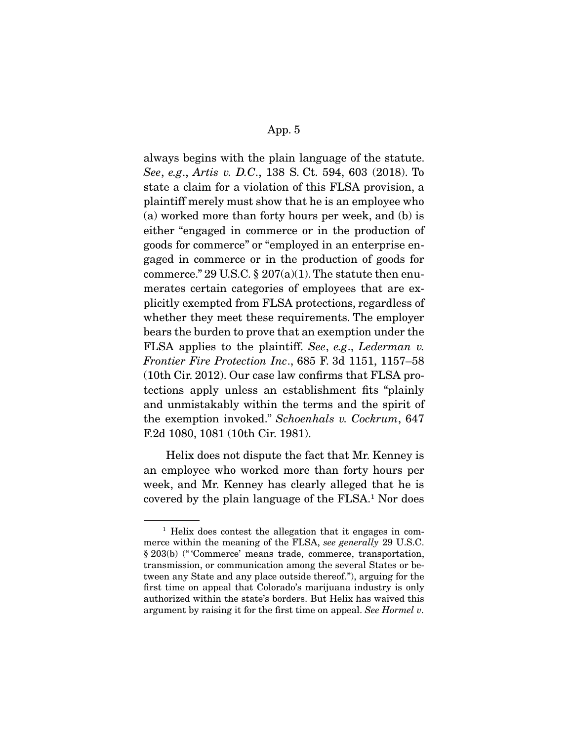always begins with the plain language of the statute. See, e.g., Artis v. D.C., 138 S. Ct. 594, 603 (2018). To state a claim for a violation of this FLSA provision, a plaintiff merely must show that he is an employee who (a) worked more than forty hours per week, and (b) is either "engaged in commerce or in the production of goods for commerce" or "employed in an enterprise engaged in commerce or in the production of goods for commerce." 29 U.S.C.  $\S 207(a)(1)$ . The statute then enumerates certain categories of employees that are explicitly exempted from FLSA protections, regardless of whether they meet these requirements. The employer bears the burden to prove that an exemption under the FLSA applies to the plaintiff. See, e.g., Lederman v. Frontier Fire Protection Inc., 685 F. 3d 1151, 1157–58 (10th Cir. 2012). Our case law confirms that FLSA protections apply unless an establishment fits "plainly and unmistakably within the terms and the spirit of the exemption invoked." Schoenhals v. Cockrum, 647 F.2d 1080, 1081 (10th Cir. 1981).

 Helix does not dispute the fact that Mr. Kenney is an employee who worked more than forty hours per week, and Mr. Kenney has clearly alleged that he is covered by the plain language of the FLSA.1 Nor does

<sup>&</sup>lt;sup>1</sup> Helix does contest the allegation that it engages in commerce within the meaning of the FLSA, see generally 29 U.S.C. § 203(b) (" 'Commerce' means trade, commerce, transportation, transmission, or communication among the several States or between any State and any place outside thereof."), arguing for the first time on appeal that Colorado's marijuana industry is only authorized within the state's borders. But Helix has waived this argument by raising it for the first time on appeal. See Hormel v.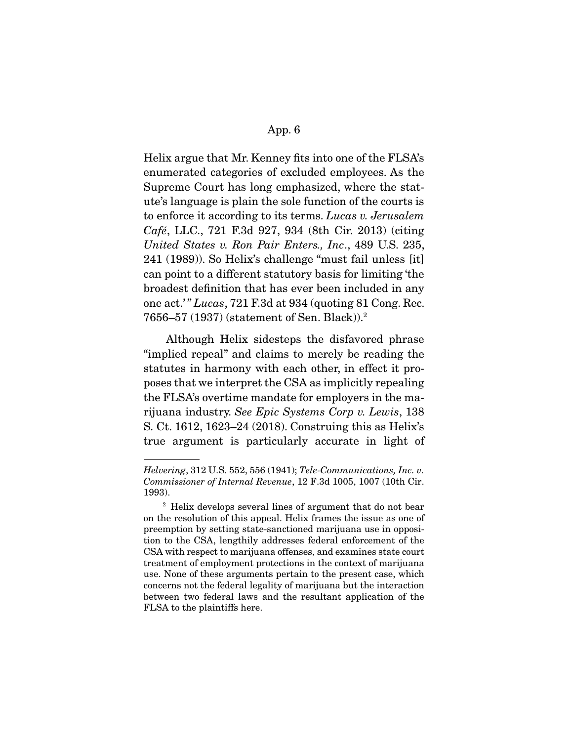Helix argue that Mr. Kenney fits into one of the FLSA's enumerated categories of excluded employees. As the Supreme Court has long emphasized, where the statute's language is plain the sole function of the courts is to enforce it according to its terms. Lucas v. Jerusalem Café, LLC., 721 F.3d 927, 934 (8th Cir. 2013) (citing United States v. Ron Pair Enters., Inc., 489 U.S. 235, 241 (1989)). So Helix's challenge "must fail unless [it] can point to a different statutory basis for limiting 'the broadest definition that has ever been included in any one act.' " Lucas, 721 F.3d at 934 (quoting 81 Cong. Rec. 7656–57 (1937) (statement of Sen. Black)).2

 Although Helix sidesteps the disfavored phrase "implied repeal" and claims to merely be reading the statutes in harmony with each other, in effect it proposes that we interpret the CSA as implicitly repealing the FLSA's overtime mandate for employers in the marijuana industry. See Epic Systems Corp v. Lewis, 138 S. Ct. 1612, 1623–24 (2018). Construing this as Helix's true argument is particularly accurate in light of

Helvering, 312 U.S. 552, 556 (1941); Tele-Communications, Inc. v. Commissioner of Internal Revenue, 12 F.3d 1005, 1007 (10th Cir. 1993).

<sup>2</sup> Helix develops several lines of argument that do not bear on the resolution of this appeal. Helix frames the issue as one of preemption by setting state-sanctioned marijuana use in opposition to the CSA, lengthily addresses federal enforcement of the CSA with respect to marijuana offenses, and examines state court treatment of employment protections in the context of marijuana use. None of these arguments pertain to the present case, which concerns not the federal legality of marijuana but the interaction between two federal laws and the resultant application of the FLSA to the plaintiffs here.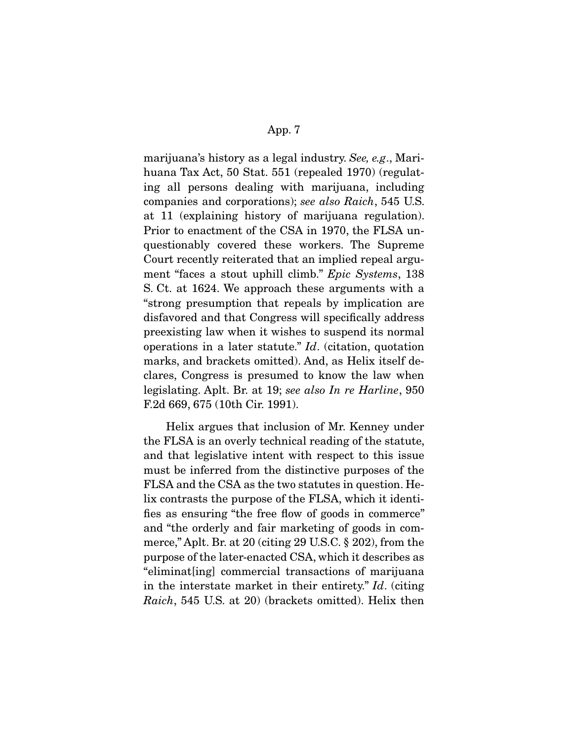marijuana's history as a legal industry. See, e.g., Marihuana Tax Act, 50 Stat. 551 (repealed 1970) (regulating all persons dealing with marijuana, including companies and corporations); see also Raich, 545 U.S. at 11 (explaining history of marijuana regulation). Prior to enactment of the CSA in 1970, the FLSA unquestionably covered these workers. The Supreme Court recently reiterated that an implied repeal argument "faces a stout uphill climb." Epic Systems, 138 S. Ct. at 1624. We approach these arguments with a "strong presumption that repeals by implication are disfavored and that Congress will specifically address preexisting law when it wishes to suspend its normal operations in a later statute." Id. (citation, quotation marks, and brackets omitted). And, as Helix itself declares, Congress is presumed to know the law when legislating. Aplt. Br. at 19; see also In re Harline, 950 F.2d 669, 675 (10th Cir. 1991).

 Helix argues that inclusion of Mr. Kenney under the FLSA is an overly technical reading of the statute, and that legislative intent with respect to this issue must be inferred from the distinctive purposes of the FLSA and the CSA as the two statutes in question. Helix contrasts the purpose of the FLSA, which it identifies as ensuring "the free flow of goods in commerce" and "the orderly and fair marketing of goods in commerce," Aplt. Br. at 20 (citing 29 U.S.C. § 202), from the purpose of the later-enacted CSA, which it describes as "eliminat[ing] commercial transactions of marijuana in the interstate market in their entirety." Id. (citing Raich, 545 U.S. at 20) (brackets omitted). Helix then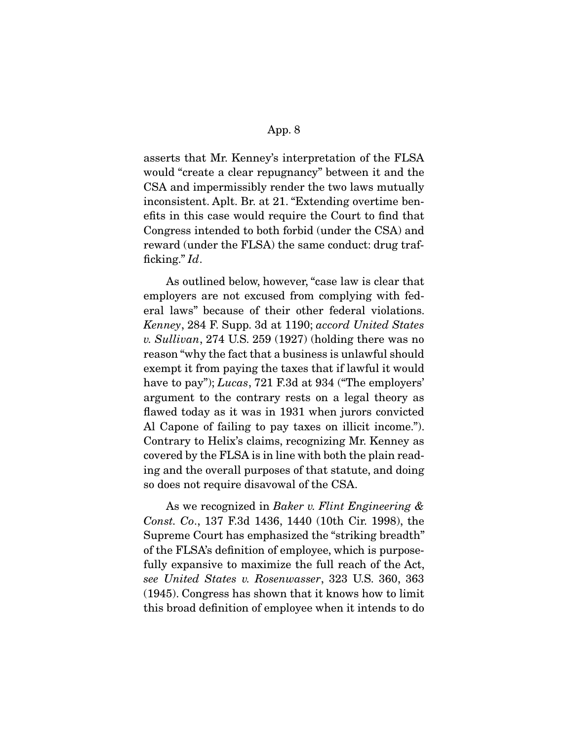asserts that Mr. Kenney's interpretation of the FLSA would "create a clear repugnancy" between it and the CSA and impermissibly render the two laws mutually inconsistent. Aplt. Br. at 21. "Extending overtime benefits in this case would require the Court to find that Congress intended to both forbid (under the CSA) and reward (under the FLSA) the same conduct: drug trafficking."  $Id$ .

 As outlined below, however, "case law is clear that employers are not excused from complying with federal laws" because of their other federal violations. Kenney, 284 F. Supp. 3d at 1190; accord United States v. Sullivan, 274 U.S. 259 (1927) (holding there was no reason "why the fact that a business is unlawful should exempt it from paying the taxes that if lawful it would have to pay"); Lucas, 721 F.3d at 934 ("The employers' argument to the contrary rests on a legal theory as flawed today as it was in 1931 when jurors convicted Al Capone of failing to pay taxes on illicit income."). Contrary to Helix's claims, recognizing Mr. Kenney as covered by the FLSA is in line with both the plain reading and the overall purposes of that statute, and doing so does not require disavowal of the CSA.

As we recognized in Baker v. Flint Engineering & Const. Co., 137 F.3d 1436, 1440 (10th Cir. 1998), the Supreme Court has emphasized the "striking breadth" of the FLSA's definition of employee, which is purposefully expansive to maximize the full reach of the Act, see United States v. Rosenwasser, 323 U.S. 360, 363 (1945). Congress has shown that it knows how to limit this broad definition of employee when it intends to do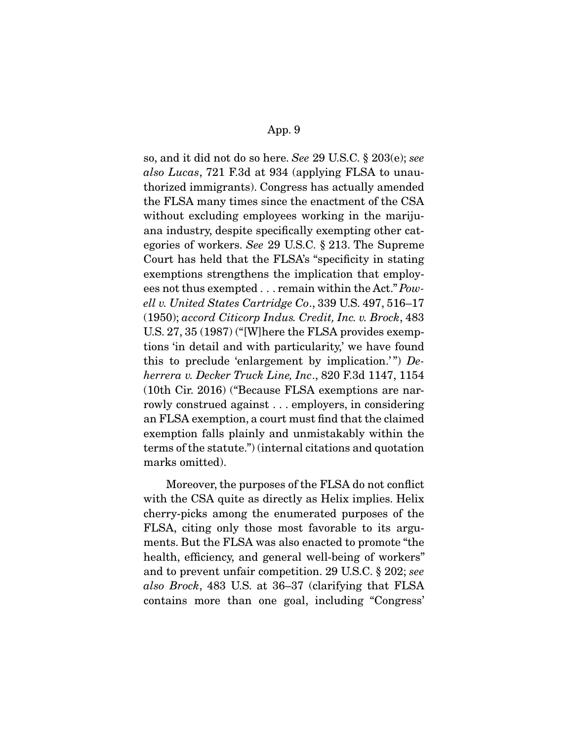so, and it did not do so here. See 29 U.S.C. § 203(e); see also Lucas, 721 F.3d at 934 (applying FLSA to unauthorized immigrants). Congress has actually amended the FLSA many times since the enactment of the CSA without excluding employees working in the marijuana industry, despite specifically exempting other categories of workers. See 29 U.S.C. § 213. The Supreme Court has held that the FLSA's "specificity in stating exemptions strengthens the implication that employees not thus exempted . . . remain within the Act." Powell v. United States Cartridge Co., 339 U.S. 497, 516–17 (1950); accord Citicorp Indus. Credit, Inc. v. Brock, 483 U.S. 27, 35 (1987) ("[W]here the FLSA provides exemptions 'in detail and with particularity,' we have found this to preclude 'enlargement by implication.'")  $De$ herrera v. Decker Truck Line, Inc., 820 F.3d 1147, 1154 (10th Cir. 2016) ("Because FLSA exemptions are narrowly construed against . . . employers, in considering an FLSA exemption, a court must find that the claimed exemption falls plainly and unmistakably within the terms of the statute.") (internal citations and quotation marks omitted).

 Moreover, the purposes of the FLSA do not conflict with the CSA quite as directly as Helix implies. Helix cherry-picks among the enumerated purposes of the FLSA, citing only those most favorable to its arguments. But the FLSA was also enacted to promote "the health, efficiency, and general well-being of workers" and to prevent unfair competition. 29 U.S.C. § 202; see also Brock, 483 U.S. at 36–37 (clarifying that FLSA contains more than one goal, including "Congress'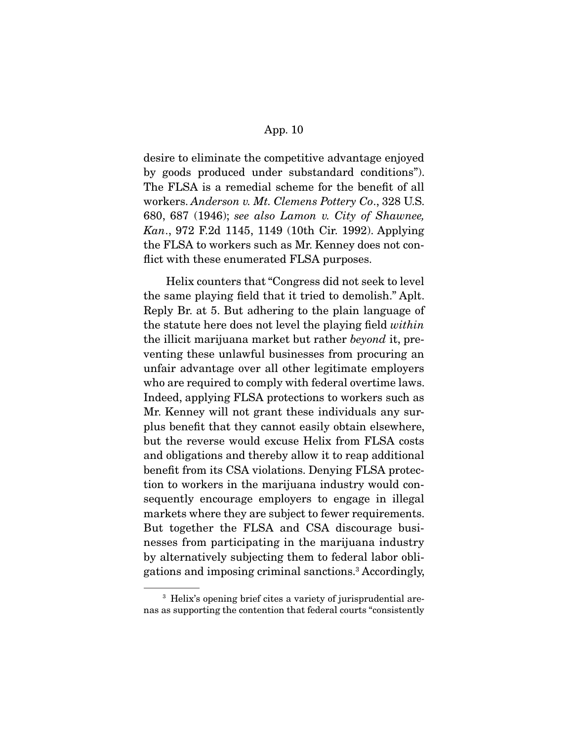desire to eliminate the competitive advantage enjoyed by goods produced under substandard conditions"). The FLSA is a remedial scheme for the benefit of all workers. Anderson v. Mt. Clemens Pottery Co., 328 U.S. 680, 687 (1946); see also Lamon v. City of Shawnee, Kan., 972 F.2d 1145, 1149 (10th Cir. 1992). Applying the FLSA to workers such as Mr. Kenney does not conflict with these enumerated FLSA purposes.

 Helix counters that "Congress did not seek to level the same playing field that it tried to demolish." Aplt. Reply Br. at 5. But adhering to the plain language of the statute here does not level the playing field within the illicit marijuana market but rather beyond it, preventing these unlawful businesses from procuring an unfair advantage over all other legitimate employers who are required to comply with federal overtime laws. Indeed, applying FLSA protections to workers such as Mr. Kenney will not grant these individuals any surplus benefit that they cannot easily obtain elsewhere, but the reverse would excuse Helix from FLSA costs and obligations and thereby allow it to reap additional benefit from its CSA violations. Denying FLSA protection to workers in the marijuana industry would consequently encourage employers to engage in illegal markets where they are subject to fewer requirements. But together the FLSA and CSA discourage businesses from participating in the marijuana industry by alternatively subjecting them to federal labor obligations and imposing criminal sanctions.3 Accordingly,

<sup>&</sup>lt;sup>3</sup> Helix's opening brief cites a variety of jurisprudential arenas as supporting the contention that federal courts "consistently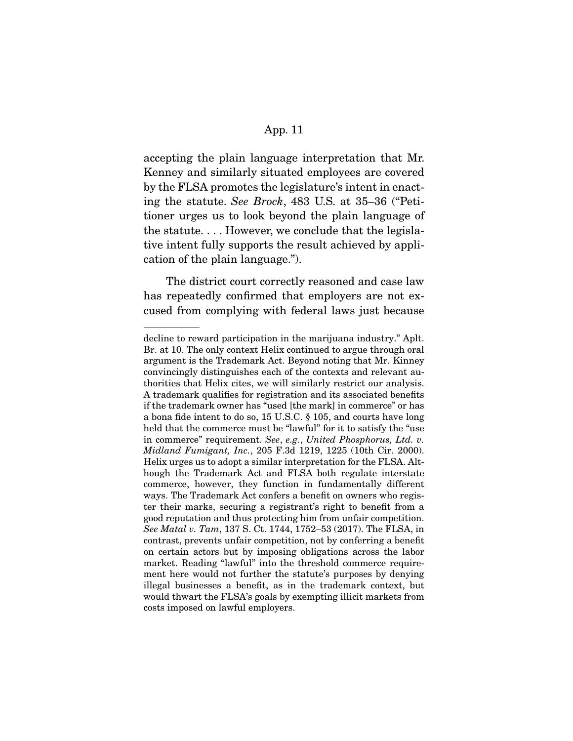accepting the plain language interpretation that Mr. Kenney and similarly situated employees are covered by the FLSA promotes the legislature's intent in enacting the statute. See Brock, 483 U.S. at 35–36 ("Petitioner urges us to look beyond the plain language of the statute. . . . However, we conclude that the legislative intent fully supports the result achieved by application of the plain language.").

 The district court correctly reasoned and case law has repeatedly confirmed that employers are not excused from complying with federal laws just because

decline to reward participation in the marijuana industry." Aplt. Br. at 10. The only context Helix continued to argue through oral argument is the Trademark Act. Beyond noting that Mr. Kinney convincingly distinguishes each of the contexts and relevant authorities that Helix cites, we will similarly restrict our analysis. A trademark qualifies for registration and its associated benefits if the trademark owner has "used [the mark] in commerce" or has a bona fide intent to do so, 15 U.S.C. § 105, and courts have long held that the commerce must be "lawful" for it to satisfy the "use in commerce" requirement. See, e.g., United Phosphorus, Ltd. v. Midland Fumigant, Inc., 205 F.3d 1219, 1225 (10th Cir. 2000). Helix urges us to adopt a similar interpretation for the FLSA. Although the Trademark Act and FLSA both regulate interstate commerce, however, they function in fundamentally different ways. The Trademark Act confers a benefit on owners who register their marks, securing a registrant's right to benefit from a good reputation and thus protecting him from unfair competition. See Matal v. Tam, 137 S. Ct. 1744, 1752–53 (2017). The FLSA, in contrast, prevents unfair competition, not by conferring a benefit on certain actors but by imposing obligations across the labor market. Reading "lawful" into the threshold commerce requirement here would not further the statute's purposes by denying illegal businesses a benefit, as in the trademark context, but would thwart the FLSA's goals by exempting illicit markets from costs imposed on lawful employers.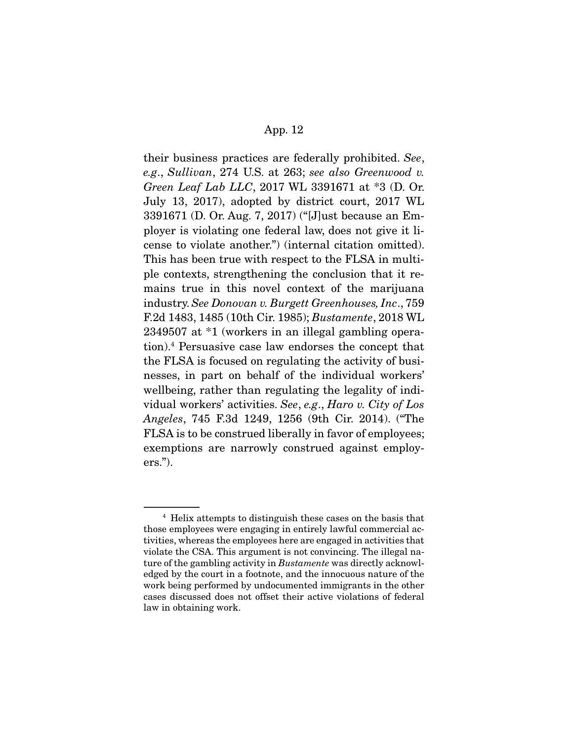their business practices are federally prohibited. See, e.g., Sullivan, 274 U.S. at 263; see also Greenwood v. Green Leaf Lab LLC, 2017 WL 3391671 at \*3 (D. Or. July 13, 2017), adopted by district court, 2017 WL 3391671 (D. Or. Aug. 7, 2017) ("[J]ust because an Employer is violating one federal law, does not give it license to violate another.") (internal citation omitted). This has been true with respect to the FLSA in multiple contexts, strengthening the conclusion that it remains true in this novel context of the marijuana industry. See Donovan v. Burgett Greenhouses, Inc., 759 F.2d 1483, 1485 (10th Cir. 1985); Bustamente, 2018 WL 2349507 at \*1 (workers in an illegal gambling operation).4 Persuasive case law endorses the concept that the FLSA is focused on regulating the activity of businesses, in part on behalf of the individual workers' wellbeing, rather than regulating the legality of individual workers' activities. See, e.g., Haro v. City of Los Angeles, 745 F.3d 1249, 1256 (9th Cir. 2014). ("The FLSA is to be construed liberally in favor of employees; exemptions are narrowly construed against employers.").

<sup>4</sup> Helix attempts to distinguish these cases on the basis that those employees were engaging in entirely lawful commercial activities, whereas the employees here are engaged in activities that violate the CSA. This argument is not convincing. The illegal nature of the gambling activity in Bustamente was directly acknowledged by the court in a footnote, and the innocuous nature of the work being performed by undocumented immigrants in the other cases discussed does not offset their active violations of federal law in obtaining work.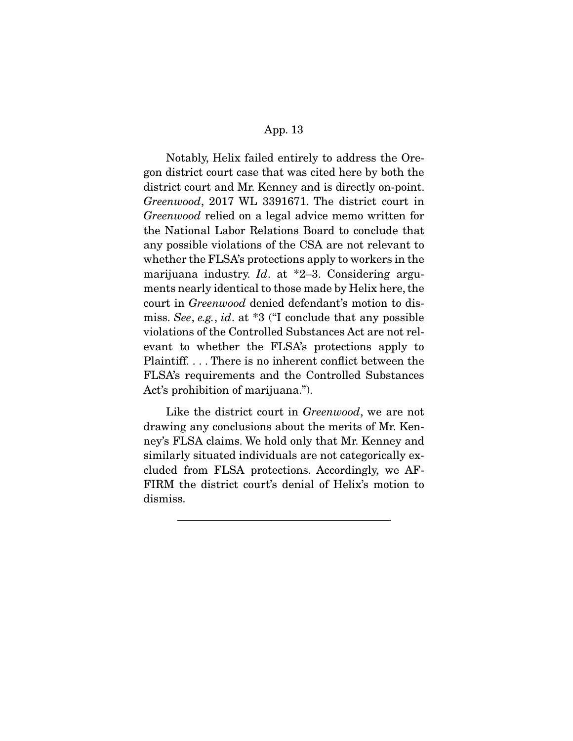Notably, Helix failed entirely to address the Oregon district court case that was cited here by both the district court and Mr. Kenney and is directly on-point. Greenwood, 2017 WL 3391671. The district court in Greenwood relied on a legal advice memo written for the National Labor Relations Board to conclude that any possible violations of the CSA are not relevant to whether the FLSA's protections apply to workers in the marijuana industry. Id. at  $*2-3$ . Considering arguments nearly identical to those made by Helix here, the court in Greenwood denied defendant's motion to dismiss. See, e.g., id. at \*3 ("I conclude that any possible violations of the Controlled Substances Act are not relevant to whether the FLSA's protections apply to Plaintiff. . . . There is no inherent conflict between the FLSA's requirements and the Controlled Substances Act's prohibition of marijuana.").

 Like the district court in Greenwood, we are not drawing any conclusions about the merits of Mr. Kenney's FLSA claims. We hold only that Mr. Kenney and similarly situated individuals are not categorically excluded from FLSA protections. Accordingly, we AF-FIRM the district court's denial of Helix's motion to dismiss.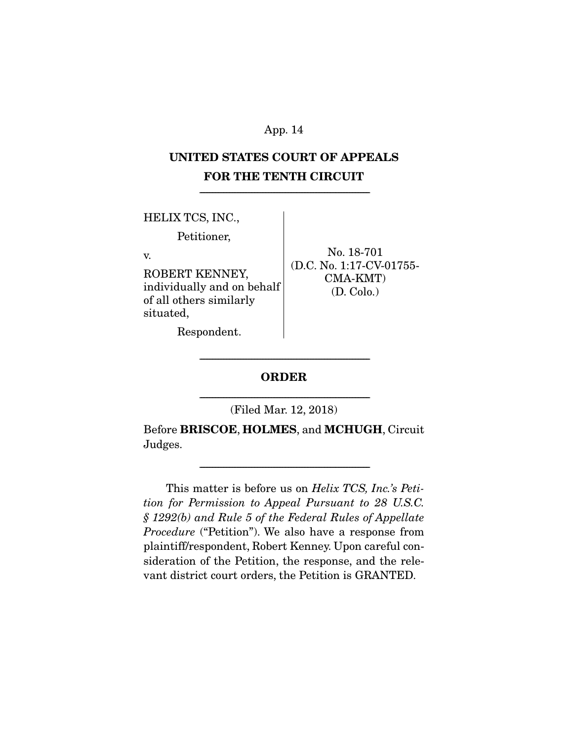# **UNITED STATES COURT OF APPEALS FOR THE TENTH CIRCUIT**

-------------------------------------------------------------------------------------------------------------

HELIX TCS, INC.,

Petitioner,

v.

ROBERT KENNEY, individually and on behalf of all others similarly situated,

No. 18-701 (D.C. No. 1:17-CV-01755- CMA-KMT) (D. Colo.)

Respondent.

# ------------------------------------------------------------------------------------------------------------- **ORDER**

------------------------------------------------------------------------------------------------------------- (Filed Mar. 12, 2018)

Before **BRISCOE**, **HOLMES**, and **MCHUGH**, Circuit Judges.

-------------------------------------------------------------------------------------------------------------

 This matter is before us on Helix TCS, Inc.'s Petition for Permission to Appeal Pursuant to 28 U.S.C. § 1292(b) and Rule 5 of the Federal Rules of Appellate Procedure ("Petition"). We also have a response from plaintiff/respondent, Robert Kenney. Upon careful consideration of the Petition, the response, and the relevant district court orders, the Petition is GRANTED.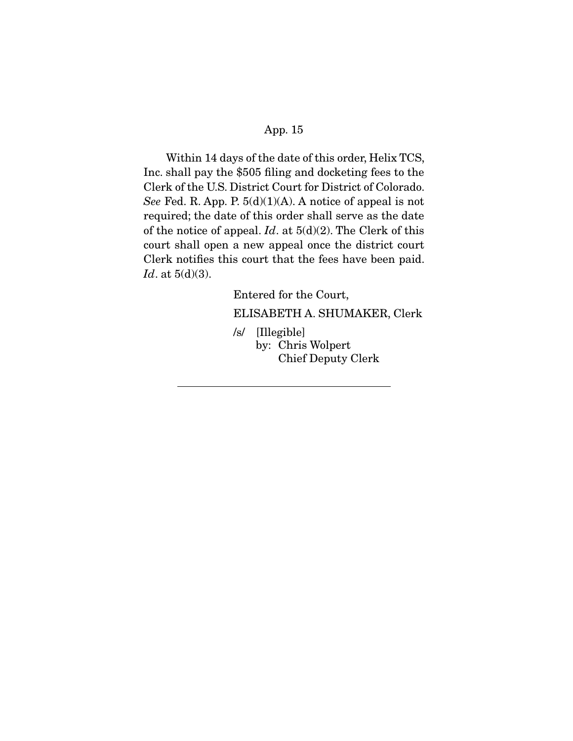Within 14 days of the date of this order, Helix TCS, Inc. shall pay the \$505 filing and docketing fees to the Clerk of the U.S. District Court for District of Colorado. See Fed. R. App. P.  $5(d)(1)(A)$ . A notice of appeal is not required; the date of this order shall serve as the date of the notice of appeal.  $Id$ . at  $5(d)(2)$ . The Clerk of this court shall open a new appeal once the district court Clerk notifies this court that the fees have been paid. Id. at  $5(d)(3)$ .

Entered for the Court,

ELISABETH A. SHUMAKER, Clerk

/s/ [Illegible] by: Chris Wolpert Chief Deputy Clerk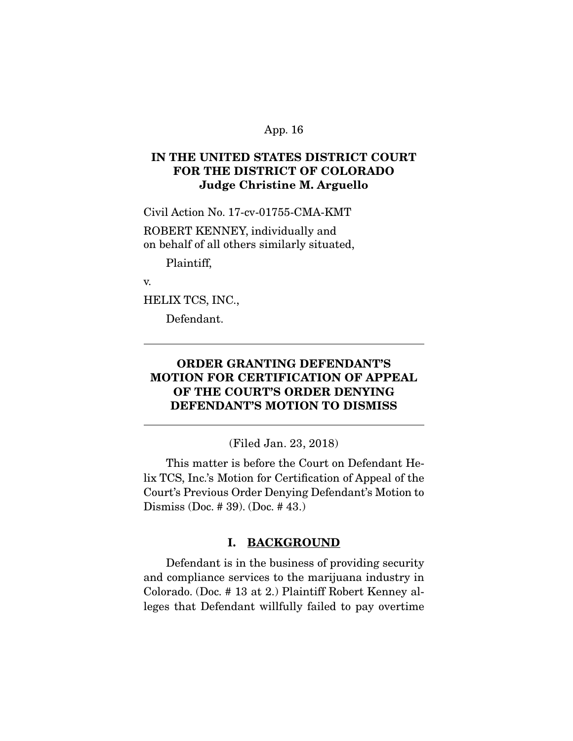# **IN THE UNITED STATES DISTRICT COURT FOR THE DISTRICT OF COLORADO Judge Christine M. Arguello**

Civil Action No. 17-cv-01755-CMA-KMT

ROBERT KENNEY, individually and on behalf of all others similarly situated,

Plaintiff,

v.

 $\overline{a}$ 

HELIX TCS, INC.,

Defendant.

# **ORDER GRANTING DEFENDANT'S MOTION FOR CERTIFICATION OF APPEAL OF THE COURT'S ORDER DENYING DEFENDANT'S MOTION TO DISMISS**

(Filed Jan. 23, 2018)

This matter is before the Court on Defendant Helix TCS, Inc.'s Motion for Certification of Appeal of the Court's Previous Order Denying Defendant's Motion to Dismiss (Doc. # 39). (Doc. # 43.)

#### **I. BACKGROUND**

Defendant is in the business of providing security and compliance services to the marijuana industry in Colorado. (Doc. # 13 at 2.) Plaintiff Robert Kenney alleges that Defendant willfully failed to pay overtime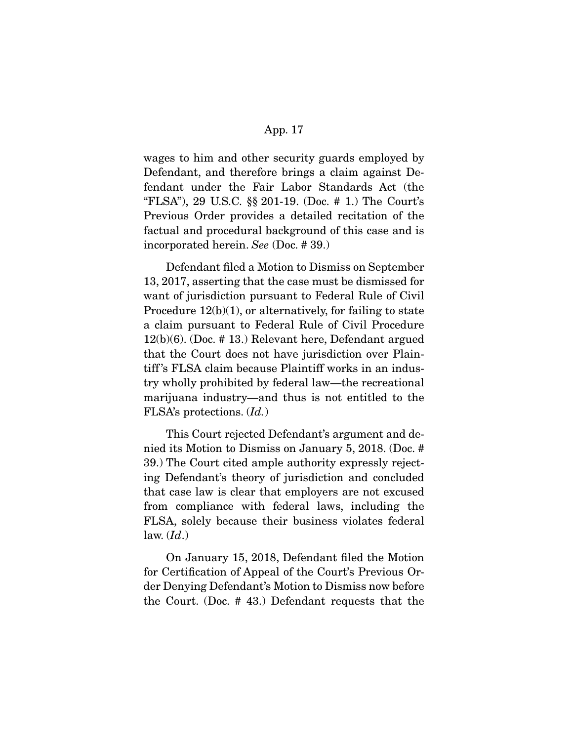wages to him and other security guards employed by Defendant, and therefore brings a claim against Defendant under the Fair Labor Standards Act (the "FLSA"), 29 U.S.C. §§ 201-19. (Doc. # 1.) The Court's Previous Order provides a detailed recitation of the factual and procedural background of this case and is incorporated herein. See (Doc. # 39.)

 Defendant filed a Motion to Dismiss on September 13, 2017, asserting that the case must be dismissed for want of jurisdiction pursuant to Federal Rule of Civil Procedure 12(b)(1), or alternatively, for failing to state a claim pursuant to Federal Rule of Civil Procedure 12(b)(6). (Doc. # 13.) Relevant here, Defendant argued that the Court does not have jurisdiction over Plaintiff 's FLSA claim because Plaintiff works in an industry wholly prohibited by federal law—the recreational marijuana industry—and thus is not entitled to the FLSA's protections. (Id.)

This Court rejected Defendant's argument and denied its Motion to Dismiss on January 5, 2018. (Doc. # 39.) The Court cited ample authority expressly rejecting Defendant's theory of jurisdiction and concluded that case law is clear that employers are not excused from compliance with federal laws, including the FLSA, solely because their business violates federal law.  $(Id.)$ 

On January 15, 2018, Defendant filed the Motion for Certification of Appeal of the Court's Previous Order Denying Defendant's Motion to Dismiss now before the Court. (Doc. # 43.) Defendant requests that the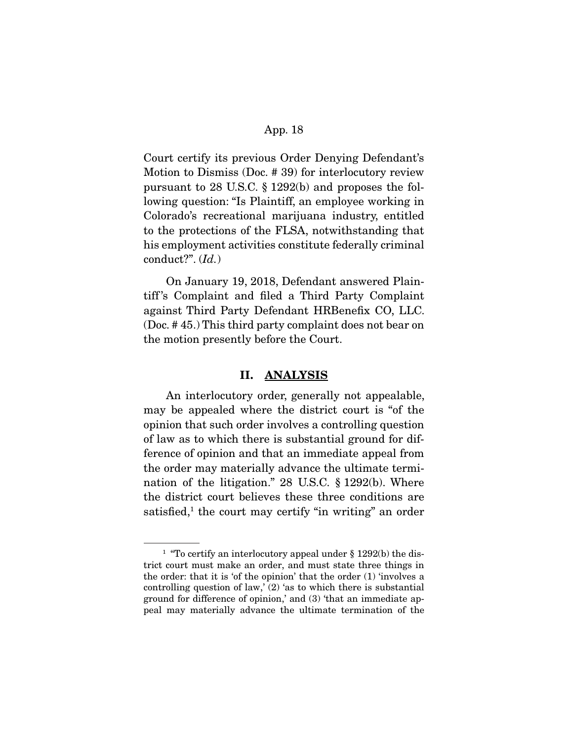Court certify its previous Order Denying Defendant's Motion to Dismiss (Doc. # 39) for interlocutory review pursuant to 28 U.S.C. § 1292(b) and proposes the following question: "Is Plaintiff, an employee working in Colorado's recreational marijuana industry, entitled to the protections of the FLSA, notwithstanding that his employment activities constitute federally criminal conduct?". (Id.)

 On January 19, 2018, Defendant answered Plaintiff 's Complaint and filed a Third Party Complaint against Third Party Defendant HRBenefix CO, LLC. (Doc. # 45.) This third party complaint does not bear on the motion presently before the Court.

#### **II. ANALYSIS**

 An interlocutory order, generally not appealable, may be appealed where the district court is "of the opinion that such order involves a controlling question of law as to which there is substantial ground for difference of opinion and that an immediate appeal from the order may materially advance the ultimate termination of the litigation." 28 U.S.C. § 1292(b). Where the district court believes these three conditions are satisfied,<sup>1</sup> the court may certify "in writing" an order

<sup>&</sup>lt;sup>1</sup> "To certify an interlocutory appeal under  $\S$  1292(b) the district court must make an order, and must state three things in the order: that it is 'of the opinion' that the order (1) 'involves a controlling question of law,  $(2)$  as to which there is substantial ground for difference of opinion,' and (3) 'that an immediate appeal may materially advance the ultimate termination of the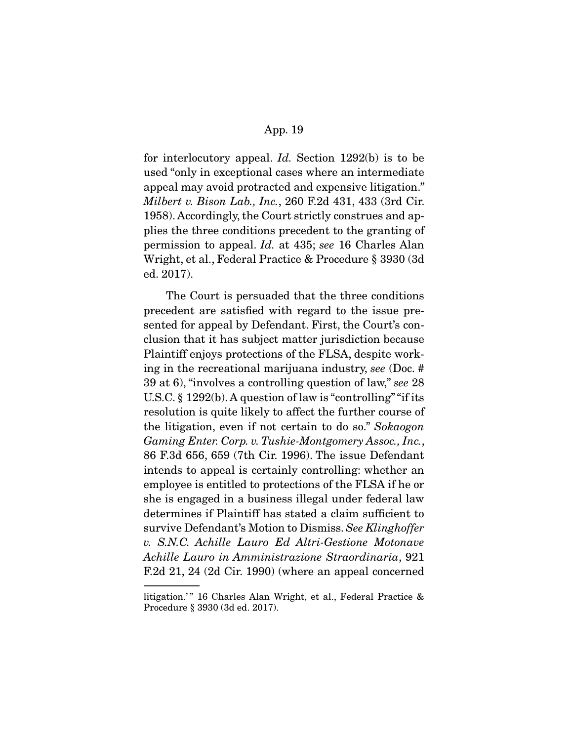for interlocutory appeal. Id. Section 1292(b) is to be used "only in exceptional cases where an intermediate appeal may avoid protracted and expensive litigation." Milbert v. Bison Lab., Inc., 260 F.2d 431, 433 (3rd Cir. 1958). Accordingly, the Court strictly construes and applies the three conditions precedent to the granting of permission to appeal. Id. at 435; see 16 Charles Alan Wright, et al., Federal Practice & Procedure § 3930 (3d ed. 2017).

 The Court is persuaded that the three conditions precedent are satisfied with regard to the issue presented for appeal by Defendant. First, the Court's conclusion that it has subject matter jurisdiction because Plaintiff enjoys protections of the FLSA, despite working in the recreational marijuana industry, see (Doc. # 39 at 6), "involves a controlling question of law," see 28 U.S.C. § 1292(b). A question of law is "controlling" "if its resolution is quite likely to affect the further course of the litigation, even if not certain to do so." Sokaogon Gaming Enter. Corp. v. Tushie-Montgomery Assoc., Inc., 86 F.3d 656, 659 (7th Cir. 1996). The issue Defendant intends to appeal is certainly controlling: whether an employee is entitled to protections of the FLSA if he or she is engaged in a business illegal under federal law determines if Plaintiff has stated a claim sufficient to survive Defendant's Motion to Dismiss. See Klinghoffer v. S.N.C. Achille Lauro Ed Altri-Gestione Motonave Achille Lauro in Amministrazione Straordinaria, 921 F.2d 21, 24 (2d Cir. 1990) (where an appeal concerned

litigation.'" 16 Charles Alan Wright, et al., Federal Practice & Procedure § 3930 (3d ed. 2017).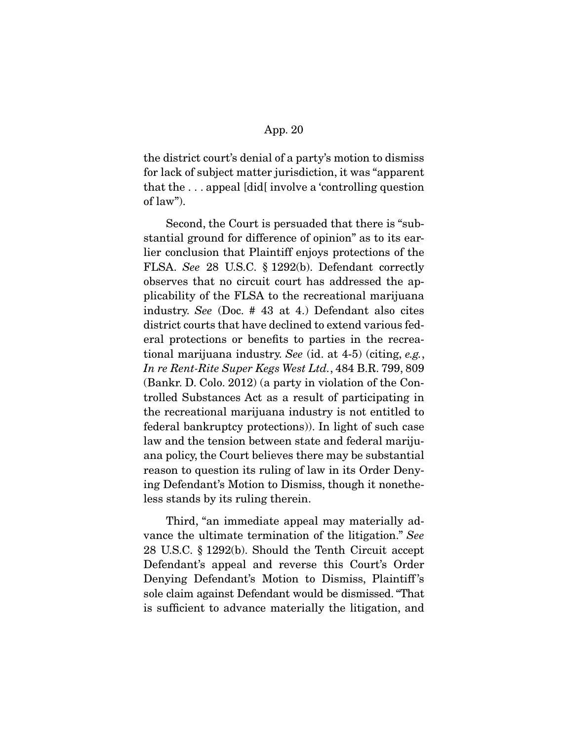the district court's denial of a party's motion to dismiss for lack of subject matter jurisdiction, it was "apparent that the . . . appeal [did[ involve a 'controlling question of law").

 Second, the Court is persuaded that there is "substantial ground for difference of opinion" as to its earlier conclusion that Plaintiff enjoys protections of the FLSA. See 28 U.S.C. § 1292(b). Defendant correctly observes that no circuit court has addressed the applicability of the FLSA to the recreational marijuana industry. See (Doc. # 43 at 4.) Defendant also cites district courts that have declined to extend various federal protections or benefits to parties in the recreational marijuana industry. See (id. at 4-5) (citing, e.g., In re Rent-Rite Super Kegs West Ltd., 484 B.R. 799, 809 (Bankr. D. Colo. 2012) (a party in violation of the Controlled Substances Act as a result of participating in the recreational marijuana industry is not entitled to federal bankruptcy protections)). In light of such case law and the tension between state and federal marijuana policy, the Court believes there may be substantial reason to question its ruling of law in its Order Denying Defendant's Motion to Dismiss, though it nonetheless stands by its ruling therein.

 Third, "an immediate appeal may materially advance the ultimate termination of the litigation." See 28 U.S.C. § 1292(b). Should the Tenth Circuit accept Defendant's appeal and reverse this Court's Order Denying Defendant's Motion to Dismiss, Plaintiff 's sole claim against Defendant would be dismissed. "That is sufficient to advance materially the litigation, and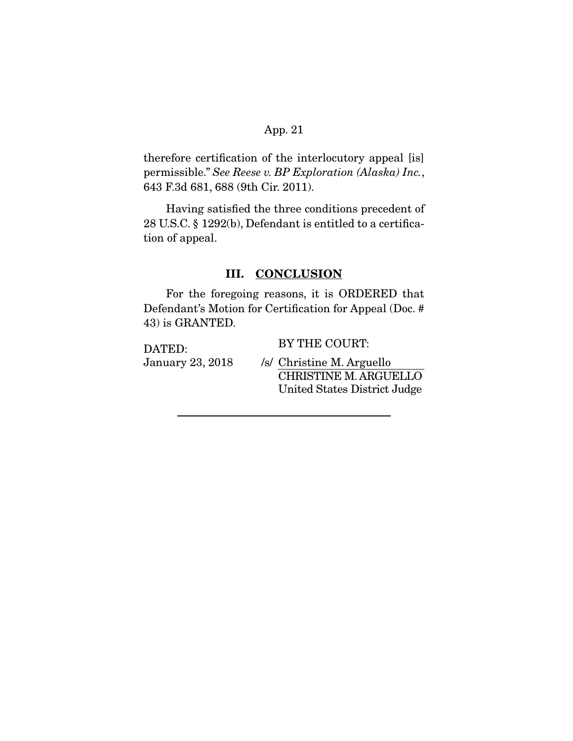therefore certification of the interlocutory appeal [is] permissible." See Reese v. BP Exploration (Alaska) Inc., 643 F.3d 681, 688 (9th Cir. 2011).

 Having satisfied the three conditions precedent of 28 U.S.C. § 1292(b), Defendant is entitled to a certification of appeal.

## **III. CONCLUSION**

 For the foregoing reasons, it is ORDERED that Defendant's Motion for Certification for Appeal (Doc. # 43) is GRANTED.

DATED: January 23, 2018 BY THE COURT:

/s/ Christine M. Arguello CHRISTINE M. ARGUELLO United States District Judge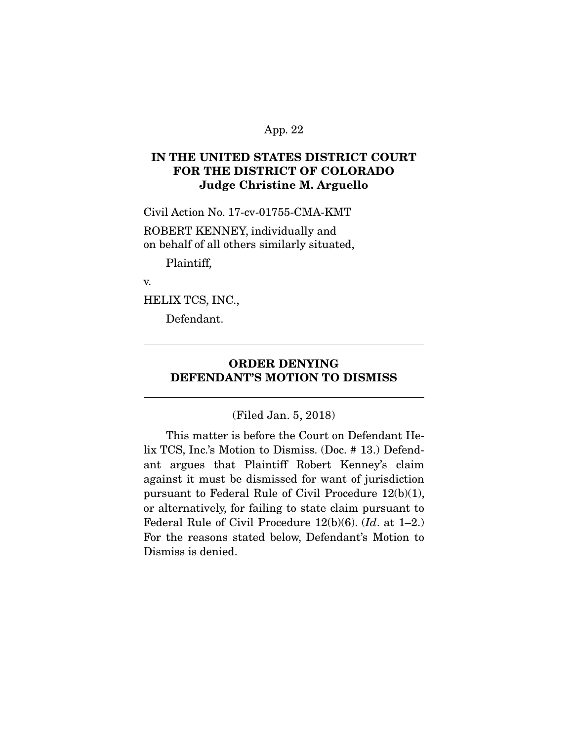# **IN THE UNITED STATES DISTRICT COURT FOR THE DISTRICT OF COLORADO Judge Christine M. Arguello**

Civil Action No. 17-cv-01755-CMA-KMT

ROBERT KENNEY, individually and on behalf of all others similarly situated,

Plaintiff,

v.

 $\overline{a}$ 

HELIX TCS, INC.,

Defendant.

# **ORDER DENYING DEFENDANT'S MOTION TO DISMISS**

(Filed Jan. 5, 2018)

 This matter is before the Court on Defendant Helix TCS, Inc.'s Motion to Dismiss. (Doc. # 13.) Defendant argues that Plaintiff Robert Kenney's claim against it must be dismissed for want of jurisdiction pursuant to Federal Rule of Civil Procedure 12(b)(1), or alternatively, for failing to state claim pursuant to Federal Rule of Civil Procedure 12(b)(6). (Id. at 1–2.) For the reasons stated below, Defendant's Motion to Dismiss is denied.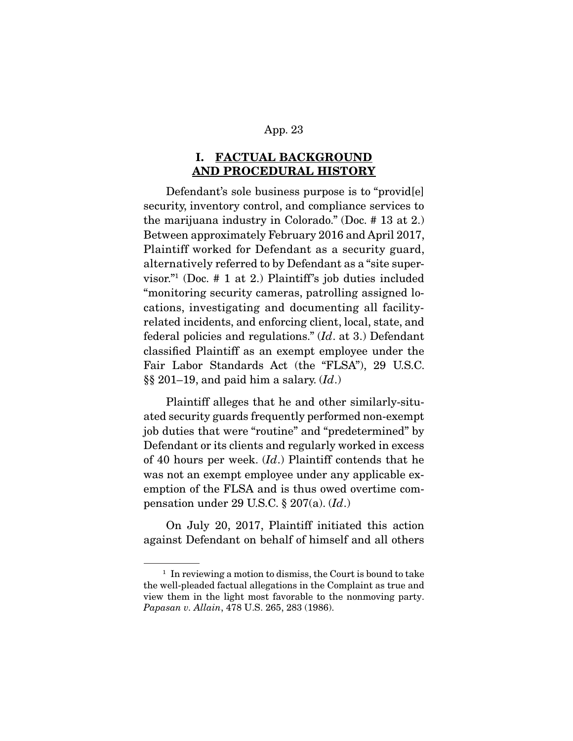# **I. FACTUAL BACKGROUND AND PROCEDURAL HISTORY**

 Defendant's sole business purpose is to "provid[e] security, inventory control, and compliance services to the marijuana industry in Colorado." (Doc. # 13 at 2.) Between approximately February 2016 and April 2017, Plaintiff worked for Defendant as a security guard, alternatively referred to by Defendant as a "site supervisor."1 (Doc. # 1 at 2.) Plaintiff's job duties included "monitoring security cameras, patrolling assigned locations, investigating and documenting all facilityrelated incidents, and enforcing client, local, state, and federal policies and regulations." (Id. at 3.) Defendant classified Plaintiff as an exempt employee under the Fair Labor Standards Act (the "FLSA"), 29 U.S.C. §§ 201–19, and paid him a salary.  $(Id.)$ 

 Plaintiff alleges that he and other similarly-situated security guards frequently performed non-exempt job duties that were "routine" and "predetermined" by Defendant or its clients and regularly worked in excess of 40 hours per week.  $(Id.)$  Plaintiff contends that he was not an exempt employee under any applicable exemption of the FLSA and is thus owed overtime compensation under 29 U.S.C.  $\S 207(a)$ .  $(Id.)$ 

 On July 20, 2017, Plaintiff initiated this action against Defendant on behalf of himself and all others

 $1$  In reviewing a motion to dismiss, the Court is bound to take the well-pleaded factual allegations in the Complaint as true and view them in the light most favorable to the nonmoving party. Papasan v. Allain, 478 U.S. 265, 283 (1986).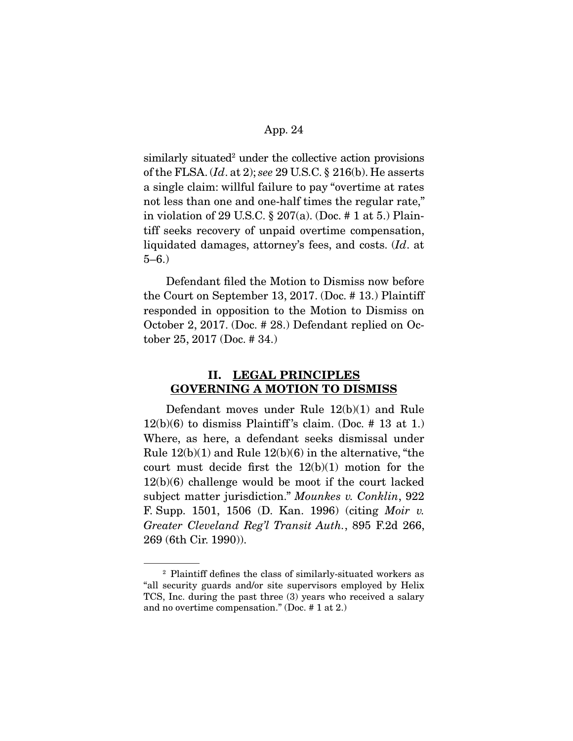similarly situated<sup>2</sup> under the collective action provisions of the FLSA.  $(Id.$  at 2); see 29 U.S.C.  $\S$  216(b). He asserts a single claim: willful failure to pay "overtime at rates not less than one and one-half times the regular rate," in violation of 29 U.S.C. § 207(a). (Doc. # 1 at 5.) Plaintiff seeks recovery of unpaid overtime compensation, liquidated damages, attorney's fees, and costs. (Id. at 5–6.)

 Defendant filed the Motion to Dismiss now before the Court on September 13, 2017. (Doc. # 13.) Plaintiff responded in opposition to the Motion to Dismiss on October 2, 2017. (Doc. # 28.) Defendant replied on October 25, 2017 (Doc. # 34.)

## **II. LEGAL PRINCIPLES GOVERNING A MOTION TO DISMISS**

 Defendant moves under Rule 12(b)(1) and Rule  $12(b)(6)$  to dismiss Plaintiff's claim. (Doc. # 13 at 1.) Where, as here, a defendant seeks dismissal under Rule  $12(b)(1)$  and Rule  $12(b)(6)$  in the alternative, "the court must decide first the 12(b)(1) motion for the 12(b)(6) challenge would be moot if the court lacked subject matter jurisdiction." Mounkes v. Conklin, 922 F. Supp. 1501, 1506 (D. Kan. 1996) (citing Moir v. Greater Cleveland Reg'l Transit Auth., 895 F.2d 266, 269 (6th Cir. 1990)).

<sup>2</sup> Plaintiff defines the class of similarly-situated workers as "all security guards and/or site supervisors employed by Helix TCS, Inc. during the past three (3) years who received a salary and no overtime compensation." (Doc. # 1 at 2.)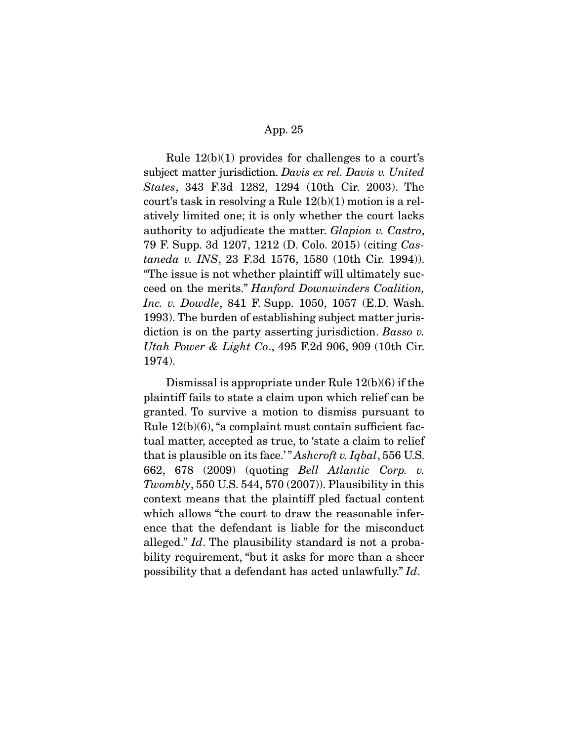Rule 12(b)(1) provides for challenges to a court's subject matter jurisdiction. Davis ex rel. Davis v. United States, 343 F.3d 1282, 1294 (10th Cir. 2003). The court's task in resolving a Rule 12(b)(1) motion is a relatively limited one; it is only whether the court lacks authority to adjudicate the matter. Glapion v. Castro, 79 F. Supp. 3d 1207, 1212 (D. Colo. 2015) (citing Castaneda v. INS, 23 F.3d 1576, 1580 (10th Cir. 1994)). "The issue is not whether plaintiff will ultimately succeed on the merits." Hanford Downwinders Coalition, Inc. v. Dowdle, 841 F. Supp. 1050, 1057 (E.D. Wash. 1993). The burden of establishing subject matter jurisdiction is on the party asserting jurisdiction. Basso v. Utah Power & Light Co., 495 F.2d 906, 909 (10th Cir. 1974).

 Dismissal is appropriate under Rule 12(b)(6) if the plaintiff fails to state a claim upon which relief can be granted. To survive a motion to dismiss pursuant to Rule 12(b)(6), "a complaint must contain sufficient factual matter, accepted as true, to 'state a claim to relief that is plausible on its face.'" Ashcroft v. Iqbal, 556 U.S. 662, 678 (2009) (quoting Bell Atlantic Corp. v. Twombly, 550 U.S. 544, 570  $(2007)$ ). Plausibility in this context means that the plaintiff pled factual content which allows "the court to draw the reasonable inference that the defendant is liable for the misconduct alleged." Id. The plausibility standard is not a probability requirement, "but it asks for more than a sheer possibility that a defendant has acted unlawfully." Id.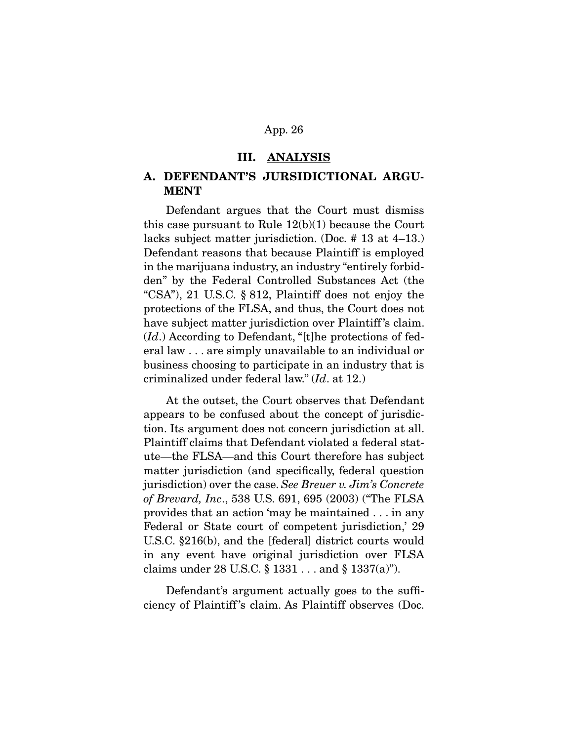#### **III. ANALYSIS**

## **A. DEFENDANT'S JURSIDICTIONAL ARGU-MENT**

 Defendant argues that the Court must dismiss this case pursuant to Rule 12(b)(1) because the Court lacks subject matter jurisdiction. (Doc. # 13 at 4–13.) Defendant reasons that because Plaintiff is employed in the marijuana industry, an industry "entirely forbidden" by the Federal Controlled Substances Act (the "CSA"), 21 U.S.C. § 812, Plaintiff does not enjoy the protections of the FLSA, and thus, the Court does not have subject matter jurisdiction over Plaintiff 's claim.  $(Id.)$  According to Defendant, "[t]he protections of federal law . . . are simply unavailable to an individual or business choosing to participate in an industry that is criminalized under federal law." (Id. at 12.)

 At the outset, the Court observes that Defendant appears to be confused about the concept of jurisdiction. Its argument does not concern jurisdiction at all. Plaintiff claims that Defendant violated a federal statute—the FLSA—and this Court therefore has subject matter jurisdiction (and specifically, federal question jurisdiction) over the case. See Breuer v. Jim's Concrete of Brevard, Inc., 538 U.S. 691, 695 (2003) ("The FLSA provides that an action 'may be maintained . . . in any Federal or State court of competent jurisdiction,' 29 U.S.C. §216(b), and the [federal] district courts would in any event have original jurisdiction over FLSA claims under 28 U.S.C. § 1331 . . . and § 1337(a)").

 Defendant's argument actually goes to the sufficiency of Plaintiff 's claim. As Plaintiff observes (Doc.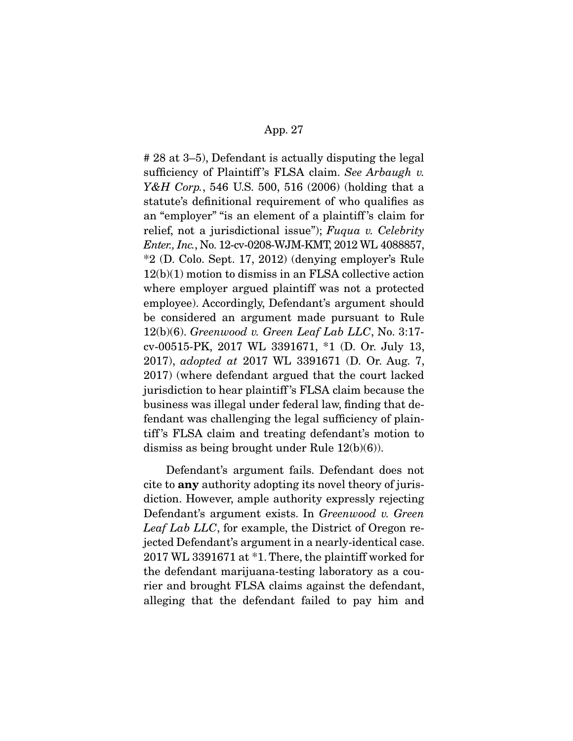# 28 at 3–5), Defendant is actually disputing the legal sufficiency of Plaintiff's FLSA claim. See Arbaugh v. Y&H Corp., 546 U.S. 500, 516 (2006) (holding that a statute's definitional requirement of who qualifies as an "employer" "is an element of a plaintiff 's claim for relief, not a jurisdictional issue"); Fuqua v. Celebrity Enter., Inc., No. 12-cv-0208-WJM-KMT, 2012 WL 4088857, \*2 (D. Colo. Sept. 17, 2012) (denying employer's Rule 12(b)(1) motion to dismiss in an FLSA collective action where employer argued plaintiff was not a protected employee). Accordingly, Defendant's argument should be considered an argument made pursuant to Rule  $12(b)(6)$ . Greenwood v. Green Leaf Lab LLC, No. 3:17cv-00515-PK, 2017 WL 3391671, \*1 (D. Or. July 13, 2017), adopted at 2017 WL 3391671 (D. Or. Aug. 7, 2017) (where defendant argued that the court lacked jurisdiction to hear plaintiff 's FLSA claim because the business was illegal under federal law, finding that defendant was challenging the legal sufficiency of plaintiff 's FLSA claim and treating defendant's motion to dismiss as being brought under Rule 12(b)(6)).

 Defendant's argument fails. Defendant does not cite to **any** authority adopting its novel theory of jurisdiction. However, ample authority expressly rejecting Defendant's argument exists. In Greenwood v. Green Leaf Lab LLC, for example, the District of Oregon rejected Defendant's argument in a nearly-identical case. 2017 WL 3391671 at \*1. There, the plaintiff worked for the defendant marijuana-testing laboratory as a courier and brought FLSA claims against the defendant, alleging that the defendant failed to pay him and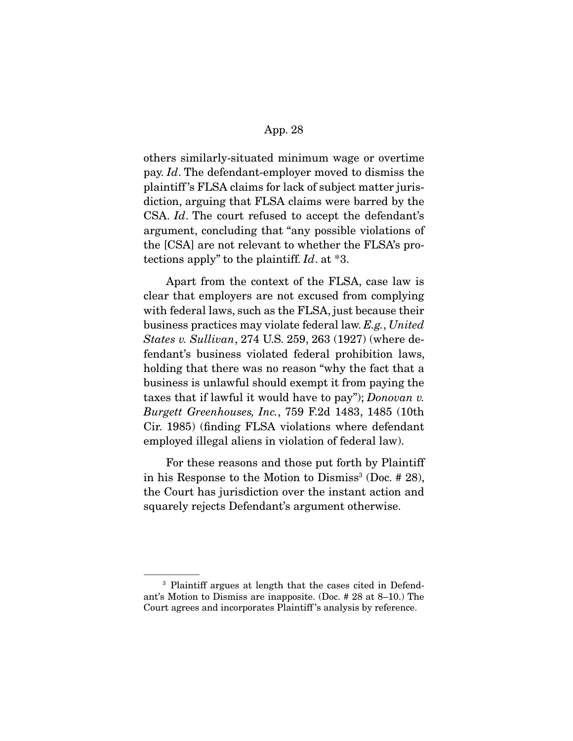others similarly-situated minimum wage or overtime pay. Id. The defendant-employer moved to dismiss the plaintiff 's FLSA claims for lack of subject matter jurisdiction, arguing that FLSA claims were barred by the CSA. Id. The court refused to accept the defendant's argument, concluding that "any possible violations of the [CSA] are not relevant to whether the FLSA's protections apply" to the plaintiff. Id. at \*3.

 Apart from the context of the FLSA, case law is clear that employers are not excused from complying with federal laws, such as the FLSA, just because their business practices may violate federal law. E.g., United States v. Sullivan, 274 U.S. 259, 263 (1927) (where defendant's business violated federal prohibition laws, holding that there was no reason "why the fact that a business is unlawful should exempt it from paying the taxes that if lawful it would have to pay"); Donovan v. Burgett Greenhouses, Inc., 759 F.2d 1483, 1485 (10th Cir. 1985) (finding FLSA violations where defendant employed illegal aliens in violation of federal law).

 For these reasons and those put forth by Plaintiff in his Response to the Motion to Dismiss<sup>3</sup> (Doc.  $#28$ ), the Court has jurisdiction over the instant action and squarely rejects Defendant's argument otherwise.

<sup>3</sup> Plaintiff argues at length that the cases cited in Defendant's Motion to Dismiss are inapposite. (Doc. # 28 at 8–10.) The Court agrees and incorporates Plaintiff 's analysis by reference.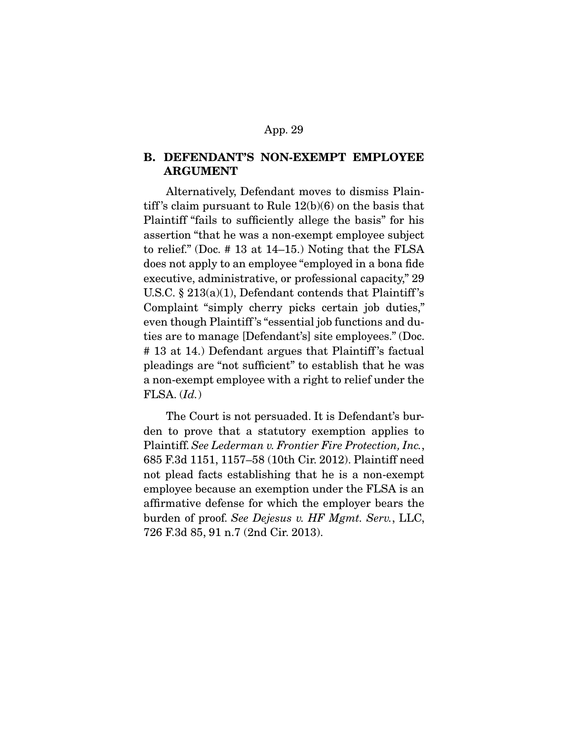## **B. DEFENDANT'S NON-EXEMPT EMPLOYEE ARGUMENT**

 Alternatively, Defendant moves to dismiss Plaintiff's claim pursuant to Rule  $12(b)(6)$  on the basis that Plaintiff "fails to sufficiently allege the basis" for his assertion "that he was a non-exempt employee subject to relief." (Doc. # 13 at 14–15.) Noting that the FLSA does not apply to an employee "employed in a bona fide executive, administrative, or professional capacity," 29 U.S.C. § 213(a)(1), Defendant contends that Plaintiff 's Complaint "simply cherry picks certain job duties," even though Plaintiff 's "essential job functions and duties are to manage [Defendant's] site employees." (Doc. # 13 at 14.) Defendant argues that Plaintiff 's factual pleadings are "not sufficient" to establish that he was a non-exempt employee with a right to relief under the  $FLSA. (Id.)$ 

 The Court is not persuaded. It is Defendant's burden to prove that a statutory exemption applies to Plaintiff. See Lederman v. Frontier Fire Protection, Inc., 685 F.3d 1151, 1157–58 (10th Cir. 2012). Plaintiff need not plead facts establishing that he is a non-exempt employee because an exemption under the FLSA is an affirmative defense for which the employer bears the burden of proof. See Dejesus v. HF Mgmt. Serv., LLC, 726 F.3d 85, 91 n.7 (2nd Cir. 2013).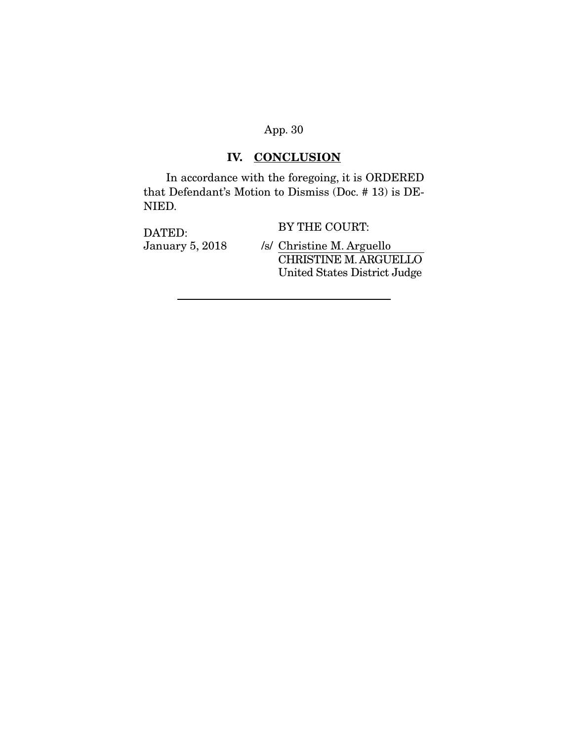# **IV. CONCLUSION**

 In accordance with the foregoing, it is ORDERED that Defendant's Motion to Dismiss (Doc. # 13) is DE-NIED.

| DATED:<br><b>January 5, 2018</b> | BY THE COURT:                                                |
|----------------------------------|--------------------------------------------------------------|
|                                  | /s/ Christine M. Arguello                                    |
|                                  | <b>CHRISTINE M. ARGUELLO</b><br>United States District Judge |
|                                  |                                                              |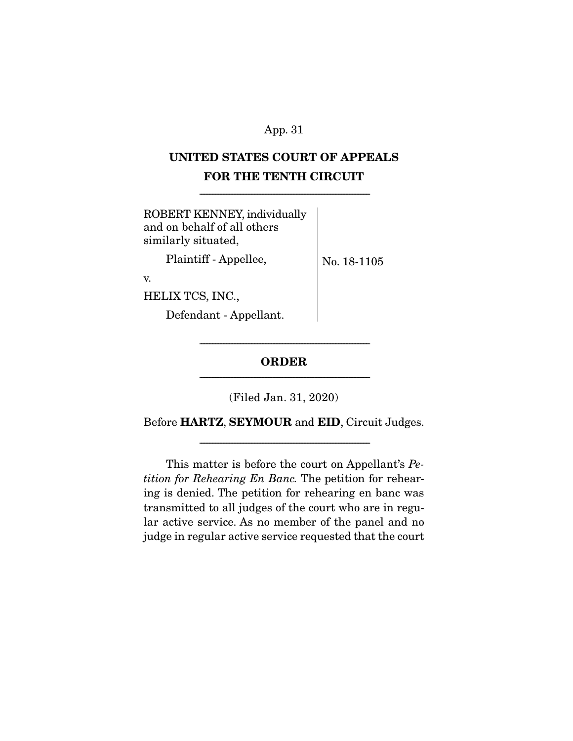# **UNITED STATES COURT OF APPEALS FOR THE TENTH CIRCUIT**

-------------------------------------------------------------------------------------------------------------

| ROBERT KENNEY, individually<br>and on behalf of all others<br>similarly situated, |             |
|-----------------------------------------------------------------------------------|-------------|
| Plaintiff - Appellee,                                                             | No. 18-1105 |
| V.                                                                                |             |
| HELIX TCS, INC.,                                                                  |             |
| Defendant - Appellant.                                                            |             |
|                                                                                   |             |

# **ORDER**  -------------------------------------------------------------------------------------------------------------

-------------------------------------------------------------------------------------------------------------

(Filed Jan. 31, 2020)

Before **HARTZ**, **SEYMOUR** and **EID**, Circuit Judges.

-------------------------------------------------------------------------------------------------------------

 This matter is before the court on Appellant's Petition for Rehearing En Banc. The petition for rehearing is denied. The petition for rehearing en banc was transmitted to all judges of the court who are in regular active service. As no member of the panel and no judge in regular active service requested that the court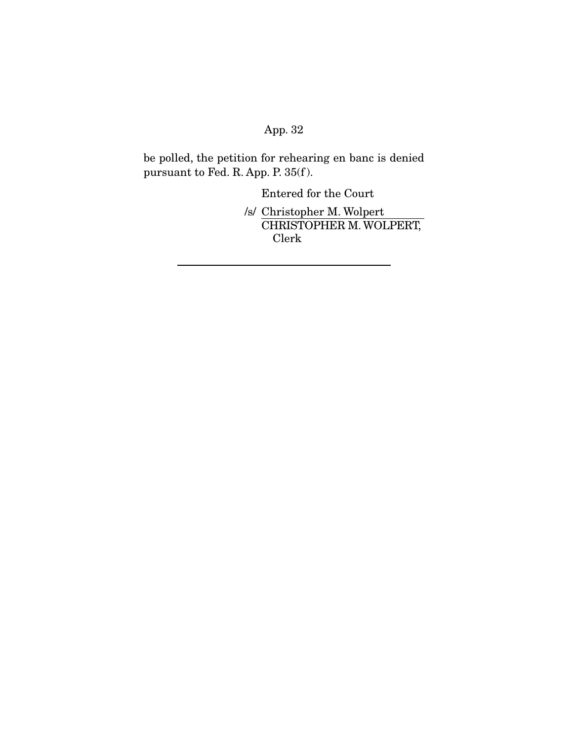be polled, the petition for rehearing en banc is denied pursuant to Fed. R. App. P. 35(f ).

Entered for the Court

/s/ Christopher M. Wolpert CHRISTOPHER M. WOLPERT, Clerk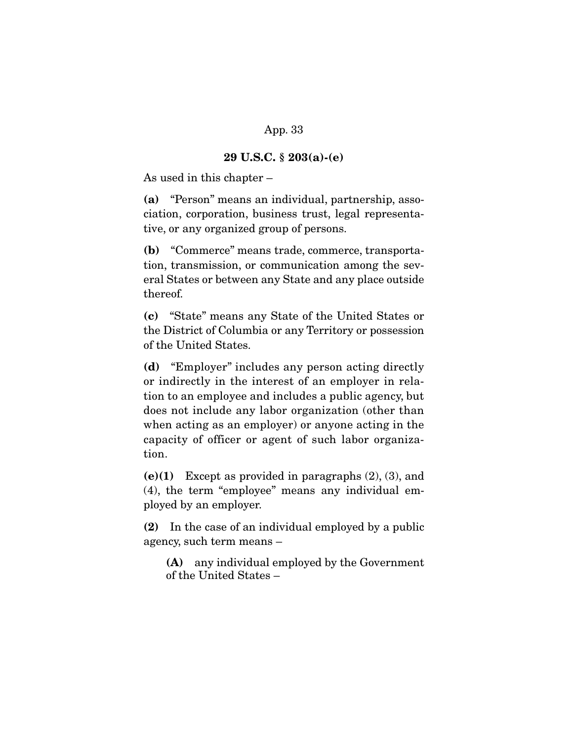### **29 U.S.C. § 203(a)-(e)**

As used in this chapter –

**(a)** "Person" means an individual, partnership, association, corporation, business trust, legal representative, or any organized group of persons.

**(b)** "Commerce" means trade, commerce, transportation, transmission, or communication among the several States or between any State and any place outside thereof.

**(c)** "State" means any State of the United States or the District of Columbia or any Territory or possession of the United States.

**(d)** "Employer" includes any person acting directly or indirectly in the interest of an employer in relation to an employee and includes a public agency, but does not include any labor organization (other than when acting as an employer) or anyone acting in the capacity of officer or agent of such labor organization.

**(e)(1)** Except as provided in paragraphs (2), (3), and (4), the term "employee" means any individual employed by an employer.

**(2)** In the case of an individual employed by a public agency, such term means –

**(A)** any individual employed by the Government of the United States –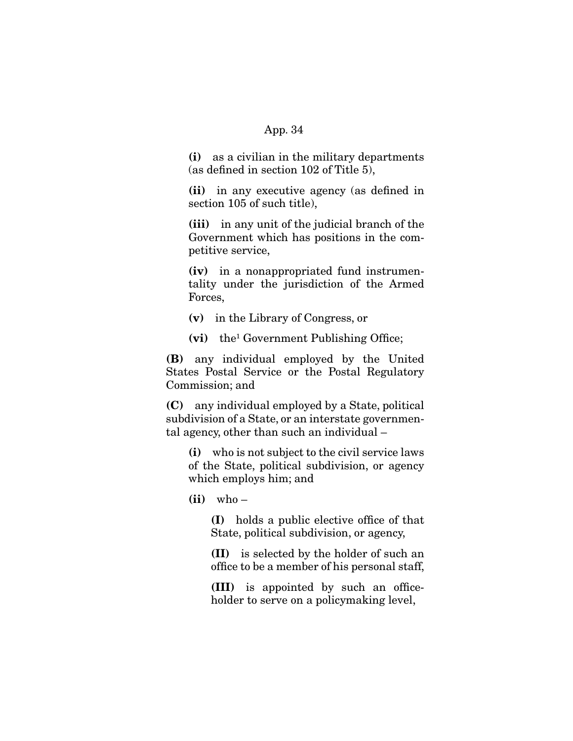**(i)** as a civilian in the military departments (as defined in section 102 of Title 5),

**(ii)** in any executive agency (as defined in section 105 of such title),

**(iii)** in any unit of the judicial branch of the Government which has positions in the competitive service,

**(iv)** in a nonappropriated fund instrumentality under the jurisdiction of the Armed Forces,

**(v)** in the Library of Congress, or

**(vi)** the1 Government Publishing Office;

**(B)** any individual employed by the United States Postal Service or the Postal Regulatory Commission; and

**(C)** any individual employed by a State, political subdivision of a State, or an interstate governmental agency, other than such an individual –

**(i)** who is not subject to the civil service laws of the State, political subdivision, or agency which employs him; and

**(ii)** who –

**(I)** holds a public elective office of that State, political subdivision, or agency,

**(II)** is selected by the holder of such an office to be a member of his personal staff,

**(III)** is appointed by such an officeholder to serve on a policymaking level,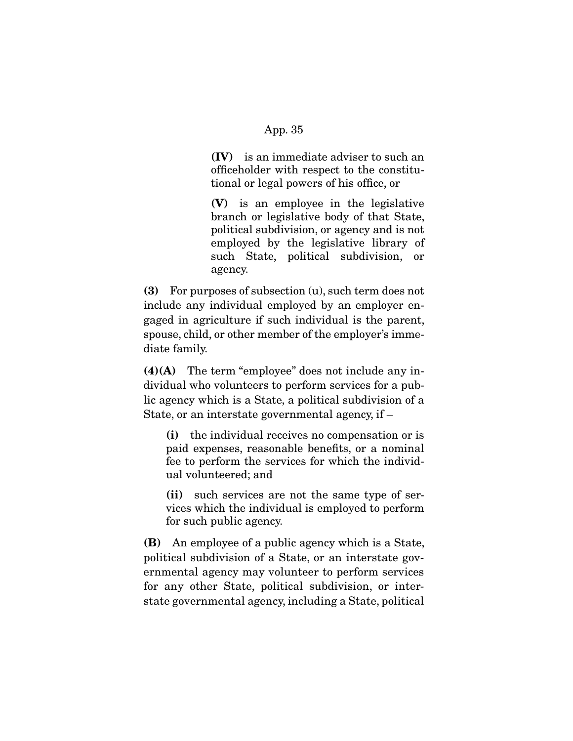**(IV)** is an immediate adviser to such an officeholder with respect to the constitutional or legal powers of his office, or

**(V)** is an employee in the legislative branch or legislative body of that State, political subdivision, or agency and is not employed by the legislative library of such State, political subdivision, or agency.

**(3)** For purposes of subsection (u), such term does not include any individual employed by an employer engaged in agriculture if such individual is the parent, spouse, child, or other member of the employer's immediate family.

**(4)(A)** The term "employee" does not include any individual who volunteers to perform services for a public agency which is a State, a political subdivision of a State, or an interstate governmental agency, if –

**(i)** the individual receives no compensation or is paid expenses, reasonable benefits, or a nominal fee to perform the services for which the individual volunteered; and

**(ii)** such services are not the same type of services which the individual is employed to perform for such public agency.

**(B)** An employee of a public agency which is a State, political subdivision of a State, or an interstate governmental agency may volunteer to perform services for any other State, political subdivision, or interstate governmental agency, including a State, political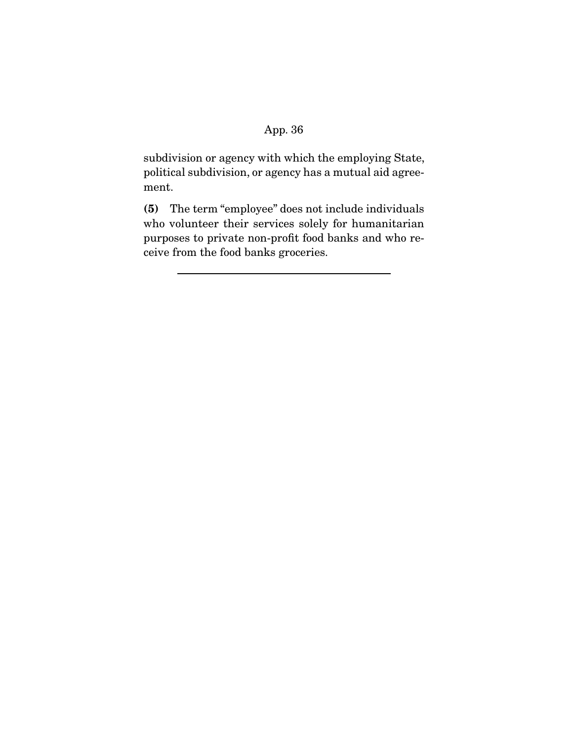subdivision or agency with which the employing State, political subdivision, or agency has a mutual aid agreement.

**(5)** The term "employee" does not include individuals who volunteer their services solely for humanitarian purposes to private non-profit food banks and who receive from the food banks groceries.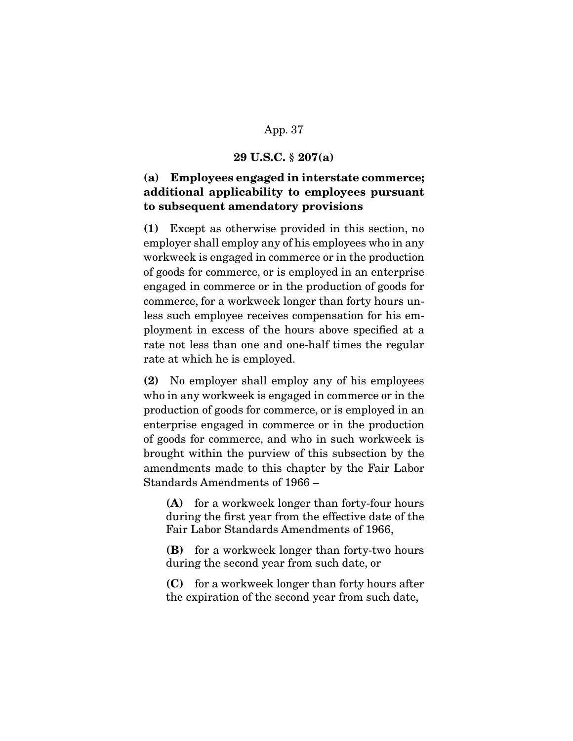#### **29 U.S.C. § 207(a)**

# **(a) Employees engaged in interstate commerce; additional applicability to employees pursuant to subsequent amendatory provisions**

**(1)** Except as otherwise provided in this section, no employer shall employ any of his employees who in any workweek is engaged in commerce or in the production of goods for commerce, or is employed in an enterprise engaged in commerce or in the production of goods for commerce, for a workweek longer than forty hours unless such employee receives compensation for his employment in excess of the hours above specified at a rate not less than one and one-half times the regular rate at which he is employed.

**(2)** No employer shall employ any of his employees who in any workweek is engaged in commerce or in the production of goods for commerce, or is employed in an enterprise engaged in commerce or in the production of goods for commerce, and who in such workweek is brought within the purview of this subsection by the amendments made to this chapter by the Fair Labor Standards Amendments of 1966 –

**(A)** for a workweek longer than forty-four hours during the first year from the effective date of the Fair Labor Standards Amendments of 1966,

**(B)** for a workweek longer than forty-two hours during the second year from such date, or

**(C)** for a workweek longer than forty hours after the expiration of the second year from such date,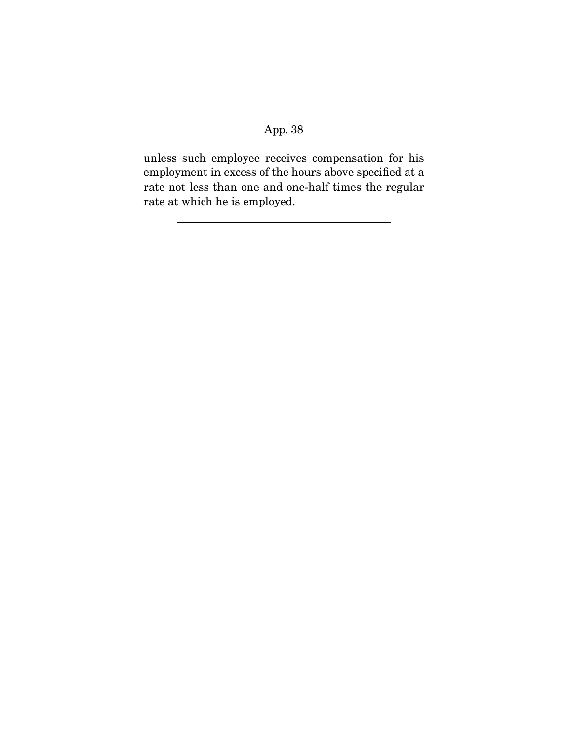unless such employee receives compensation for his employment in excess of the hours above specified at a rate not less than one and one-half times the regular rate at which he is employed.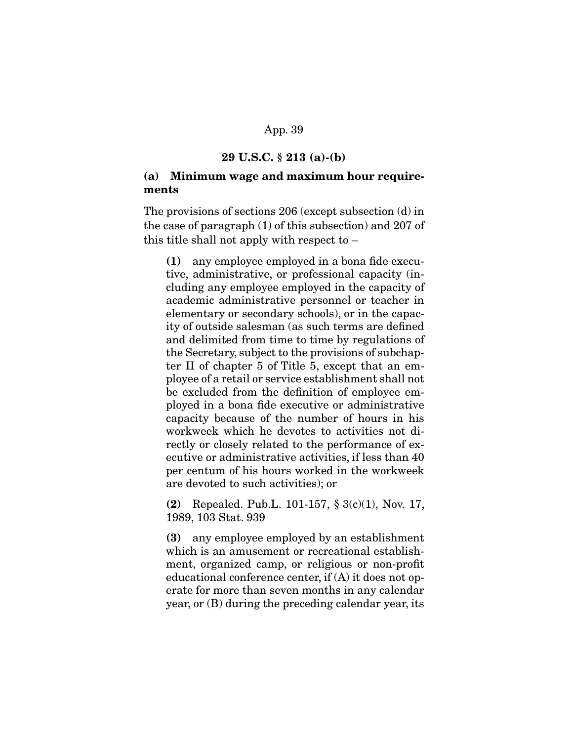### **29 U.S.C. § 213 (a)-(b)**

### **(a) Minimum wage and maximum hour requirements**

The provisions of sections 206 (except subsection (d) in the case of paragraph (1) of this subsection) and 207 of this title shall not apply with respect to –

**(1)** any employee employed in a bona fide executive, administrative, or professional capacity (including any employee employed in the capacity of academic administrative personnel or teacher in elementary or secondary schools), or in the capacity of outside salesman (as such terms are defined and delimited from time to time by regulations of the Secretary, subject to the provisions of subchapter II of chapter 5 of Title 5, except that an employee of a retail or service establishment shall not be excluded from the definition of employee employed in a bona fide executive or administrative capacity because of the number of hours in his workweek which he devotes to activities not directly or closely related to the performance of executive or administrative activities, if less than 40 per centum of his hours worked in the workweek are devoted to such activities); or

**(2)** Repealed. Pub.L. 101-157, § 3(c)(1), Nov. 17, 1989, 103 Stat. 939

**(3)** any employee employed by an establishment which is an amusement or recreational establishment, organized camp, or religious or non-profit educational conference center, if (A) it does not operate for more than seven months in any calendar year, or (B) during the preceding calendar year, its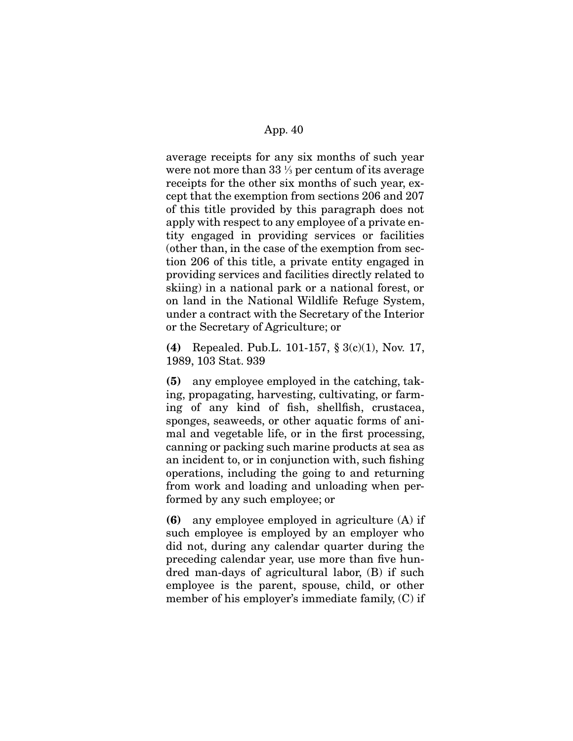average receipts for any six months of such year were not more than 33 ⅓ per centum of its average receipts for the other six months of such year, except that the exemption from sections 206 and 207 of this title provided by this paragraph does not apply with respect to any employee of a private entity engaged in providing services or facilities (other than, in the case of the exemption from section 206 of this title, a private entity engaged in providing services and facilities directly related to skiing) in a national park or a national forest, or on land in the National Wildlife Refuge System, under a contract with the Secretary of the Interior or the Secretary of Agriculture; or

**(4)** Repealed. Pub.L. 101-157, § 3(c)(1), Nov. 17, 1989, 103 Stat. 939

**(5)** any employee employed in the catching, taking, propagating, harvesting, cultivating, or farming of any kind of fish, shellfish, crustacea, sponges, seaweeds, or other aquatic forms of animal and vegetable life, or in the first processing, canning or packing such marine products at sea as an incident to, or in conjunction with, such fishing operations, including the going to and returning from work and loading and unloading when performed by any such employee; or

**(6)** any employee employed in agriculture (A) if such employee is employed by an employer who did not, during any calendar quarter during the preceding calendar year, use more than five hundred man-days of agricultural labor, (B) if such employee is the parent, spouse, child, or other member of his employer's immediate family, (C) if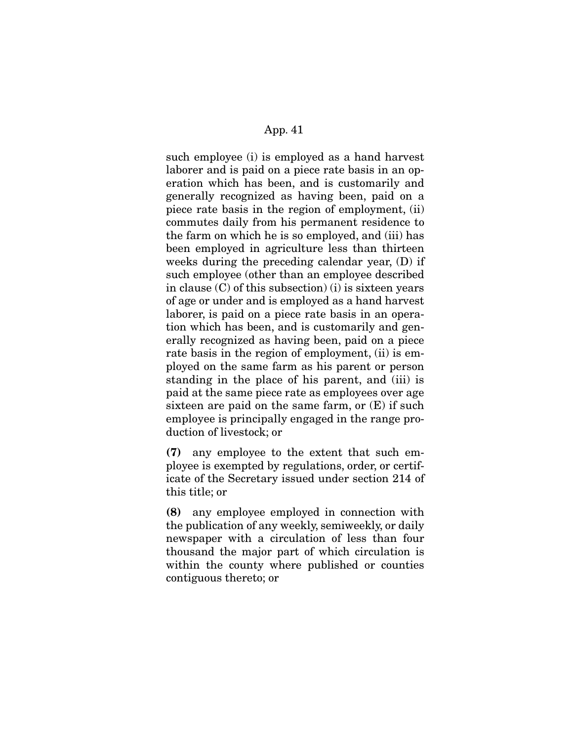such employee (i) is employed as a hand harvest laborer and is paid on a piece rate basis in an operation which has been, and is customarily and generally recognized as having been, paid on a piece rate basis in the region of employment, (ii) commutes daily from his permanent residence to the farm on which he is so employed, and (iii) has been employed in agriculture less than thirteen weeks during the preceding calendar year, (D) if such employee (other than an employee described in clause (C) of this subsection) (i) is sixteen years of age or under and is employed as a hand harvest laborer, is paid on a piece rate basis in an operation which has been, and is customarily and generally recognized as having been, paid on a piece rate basis in the region of employment, (ii) is employed on the same farm as his parent or person standing in the place of his parent, and (iii) is paid at the same piece rate as employees over age sixteen are paid on the same farm, or  $(E)$  if such employee is principally engaged in the range production of livestock; or

**(7)** any employee to the extent that such employee is exempted by regulations, order, or certificate of the Secretary issued under section 214 of this title; or

**(8)** any employee employed in connection with the publication of any weekly, semiweekly, or daily newspaper with a circulation of less than four thousand the major part of which circulation is within the county where published or counties contiguous thereto; or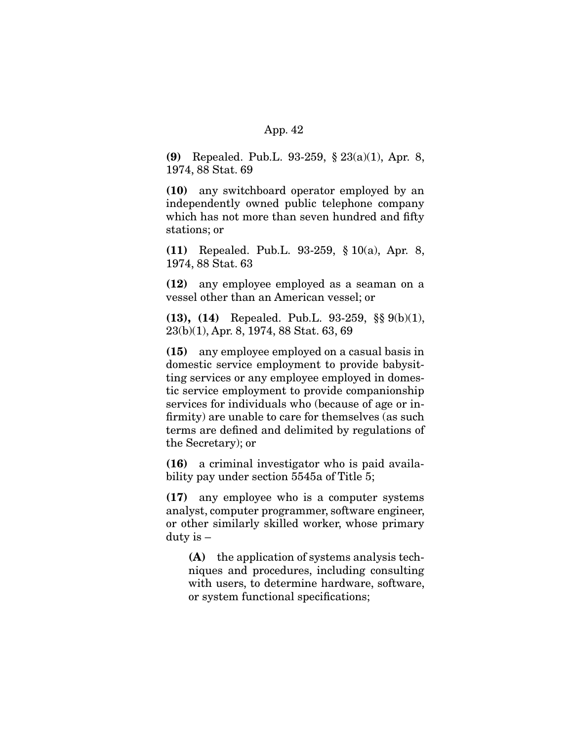**(9)** Repealed. Pub.L. 93-259, § 23(a)(1), Apr. 8, 1974, 88 Stat. 69

**(10)** any switchboard operator employed by an independently owned public telephone company which has not more than seven hundred and fifty stations; or

**(11)** Repealed. Pub.L. 93-259, § 10(a), Apr. 8, 1974, 88 Stat. 63

**(12)** any employee employed as a seaman on a vessel other than an American vessel; or

**(13), (14)** Repealed. Pub.L. 93-259, §§ 9(b)(1), 23(b)(1), Apr. 8, 1974, 88 Stat. 63, 69

**(15)** any employee employed on a casual basis in domestic service employment to provide babysitting services or any employee employed in domestic service employment to provide companionship services for individuals who (because of age or infirmity) are unable to care for themselves (as such terms are defined and delimited by regulations of the Secretary); or

**(16)** a criminal investigator who is paid availability pay under section 5545a of Title 5;

**(17)** any employee who is a computer systems analyst, computer programmer, software engineer, or other similarly skilled worker, whose primary duty is –

**(A)** the application of systems analysis techniques and procedures, including consulting with users, to determine hardware, software, or system functional specifications;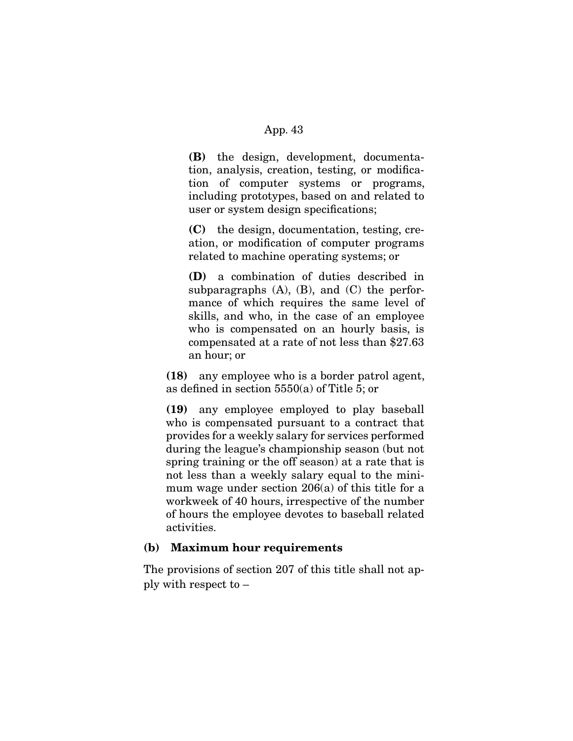**(B)** the design, development, documentation, analysis, creation, testing, or modification of computer systems or programs, including prototypes, based on and related to user or system design specifications;

**(C)** the design, documentation, testing, creation, or modification of computer programs related to machine operating systems; or

**(D)** a combination of duties described in subparagraphs  $(A)$ ,  $(B)$ , and  $(C)$  the performance of which requires the same level of skills, and who, in the case of an employee who is compensated on an hourly basis, is compensated at a rate of not less than \$27.63 an hour; or

**(18)** any employee who is a border patrol agent, as defined in section 5550(a) of Title 5; or

**(19)** any employee employed to play baseball who is compensated pursuant to a contract that provides for a weekly salary for services performed during the league's championship season (but not spring training or the off season) at a rate that is not less than a weekly salary equal to the minimum wage under section 206(a) of this title for a workweek of 40 hours, irrespective of the number of hours the employee devotes to baseball related activities.

### **(b) Maximum hour requirements**

The provisions of section 207 of this title shall not apply with respect to –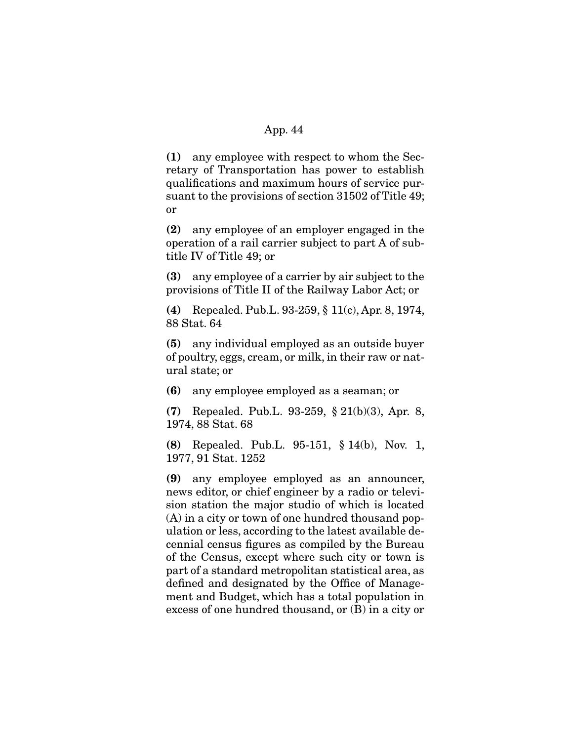**(1)** any employee with respect to whom the Secretary of Transportation has power to establish qualifications and maximum hours of service pursuant to the provisions of section 31502 of Title 49; or

**(2)** any employee of an employer engaged in the operation of a rail carrier subject to part A of subtitle IV of Title 49; or

**(3)** any employee of a carrier by air subject to the provisions of Title II of the Railway Labor Act; or

**(4)** Repealed. Pub.L. 93-259, § 11(c), Apr. 8, 1974, 88 Stat. 64

**(5)** any individual employed as an outside buyer of poultry, eggs, cream, or milk, in their raw or natural state; or

**(6)** any employee employed as a seaman; or

**(7)** Repealed. Pub.L. 93-259, § 21(b)(3), Apr. 8, 1974, 88 Stat. 68

**(8)** Repealed. Pub.L. 95-151, § 14(b), Nov. 1, 1977, 91 Stat. 1252

**(9)** any employee employed as an announcer, news editor, or chief engineer by a radio or television station the major studio of which is located (A) in a city or town of one hundred thousand population or less, according to the latest available decennial census figures as compiled by the Bureau of the Census, except where such city or town is part of a standard metropolitan statistical area, as defined and designated by the Office of Management and Budget, which has a total population in excess of one hundred thousand, or (B) in a city or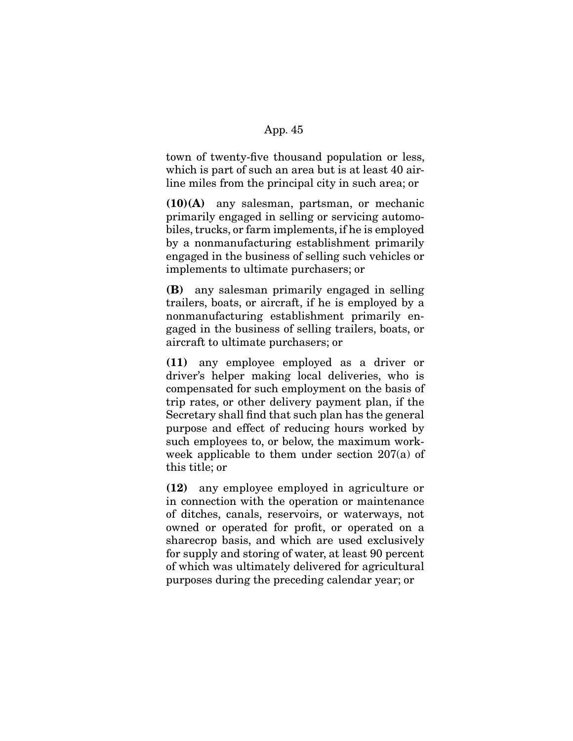town of twenty-five thousand population or less, which is part of such an area but is at least 40 airline miles from the principal city in such area; or

**(10)(A)** any salesman, partsman, or mechanic primarily engaged in selling or servicing automobiles, trucks, or farm implements, if he is employed by a nonmanufacturing establishment primarily engaged in the business of selling such vehicles or implements to ultimate purchasers; or

**(B)** any salesman primarily engaged in selling trailers, boats, or aircraft, if he is employed by a nonmanufacturing establishment primarily engaged in the business of selling trailers, boats, or aircraft to ultimate purchasers; or

**(11)** any employee employed as a driver or driver's helper making local deliveries, who is compensated for such employment on the basis of trip rates, or other delivery payment plan, if the Secretary shall find that such plan has the general purpose and effect of reducing hours worked by such employees to, or below, the maximum workweek applicable to them under section 207(a) of this title; or

**(12)** any employee employed in agriculture or in connection with the operation or maintenance of ditches, canals, reservoirs, or waterways, not owned or operated for profit, or operated on a sharecrop basis, and which are used exclusively for supply and storing of water, at least 90 percent of which was ultimately delivered for agricultural purposes during the preceding calendar year; or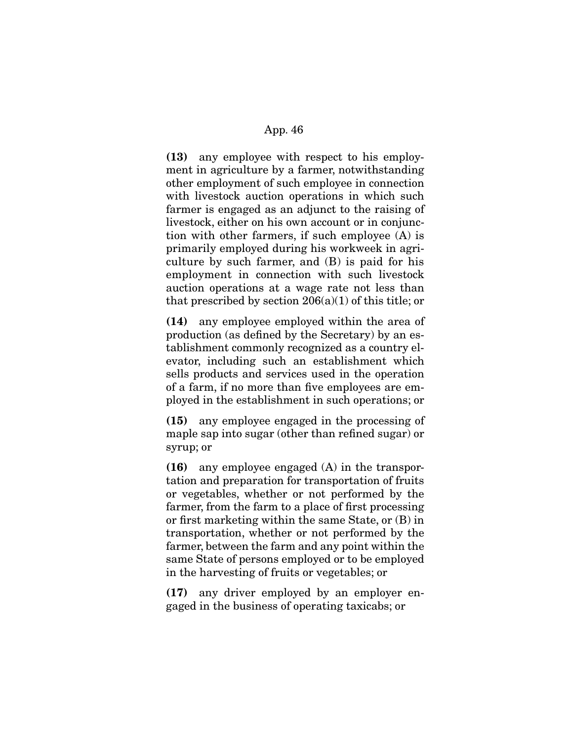**(13)** any employee with respect to his employment in agriculture by a farmer, notwithstanding other employment of such employee in connection with livestock auction operations in which such farmer is engaged as an adjunct to the raising of livestock, either on his own account or in conjunction with other farmers, if such employee (A) is primarily employed during his workweek in agriculture by such farmer, and (B) is paid for his employment in connection with such livestock auction operations at a wage rate not less than that prescribed by section  $206(a)(1)$  of this title; or

**(14)** any employee employed within the area of production (as defined by the Secretary) by an establishment commonly recognized as a country elevator, including such an establishment which sells products and services used in the operation of a farm, if no more than five employees are employed in the establishment in such operations; or

**(15)** any employee engaged in the processing of maple sap into sugar (other than refined sugar) or syrup; or

**(16)** any employee engaged (A) in the transportation and preparation for transportation of fruits or vegetables, whether or not performed by the farmer, from the farm to a place of first processing or first marketing within the same State, or (B) in transportation, whether or not performed by the farmer, between the farm and any point within the same State of persons employed or to be employed in the harvesting of fruits or vegetables; or

**(17)** any driver employed by an employer engaged in the business of operating taxicabs; or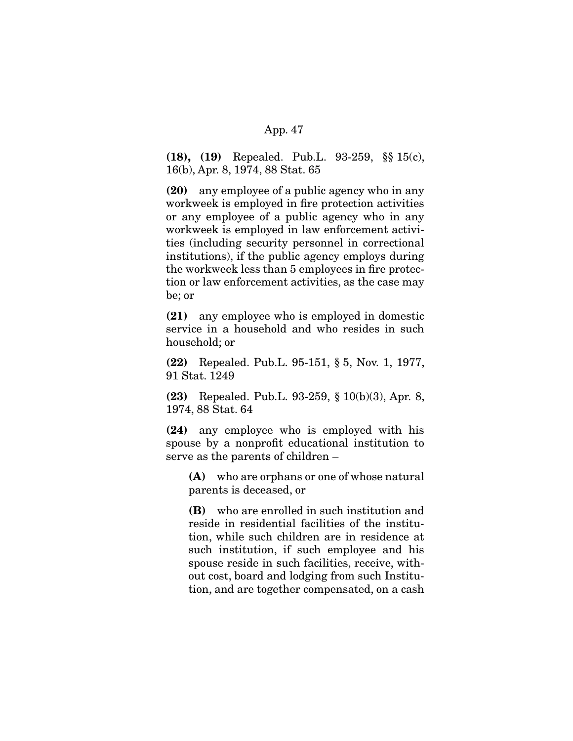**(18), (19)** Repealed. Pub.L. 93-259, §§ 15(c), 16(b), Apr. 8, 1974, 88 Stat. 65

**(20)** any employee of a public agency who in any workweek is employed in fire protection activities or any employee of a public agency who in any workweek is employed in law enforcement activities (including security personnel in correctional institutions), if the public agency employs during the workweek less than 5 employees in fire protection or law enforcement activities, as the case may be; or

**(21)** any employee who is employed in domestic service in a household and who resides in such household; or

**(22)** Repealed. Pub.L. 95-151, § 5, Nov. 1, 1977, 91 Stat. 1249

**(23)** Repealed. Pub.L. 93-259, § 10(b)(3), Apr. 8, 1974, 88 Stat. 64

**(24)** any employee who is employed with his spouse by a nonprofit educational institution to serve as the parents of children –

**(A)** who are orphans or one of whose natural parents is deceased, or

**(B)** who are enrolled in such institution and reside in residential facilities of the institution, while such children are in residence at such institution, if such employee and his spouse reside in such facilities, receive, without cost, board and lodging from such Institution, and are together compensated, on a cash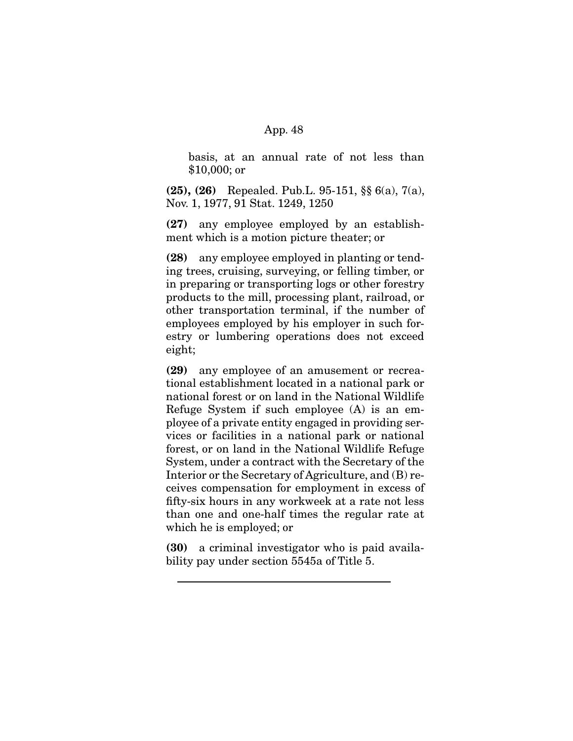basis, at an annual rate of not less than \$10,000; or

**(25), (26)** Repealed. Pub.L. 95-151, §§ 6(a), 7(a), Nov. 1, 1977, 91 Stat. 1249, 1250

**(27)** any employee employed by an establishment which is a motion picture theater; or

**(28)** any employee employed in planting or tending trees, cruising, surveying, or felling timber, or in preparing or transporting logs or other forestry products to the mill, processing plant, railroad, or other transportation terminal, if the number of employees employed by his employer in such forestry or lumbering operations does not exceed eight;

**(29)** any employee of an amusement or recreational establishment located in a national park or national forest or on land in the National Wildlife Refuge System if such employee (A) is an employee of a private entity engaged in providing services or facilities in a national park or national forest, or on land in the National Wildlife Refuge System, under a contract with the Secretary of the Interior or the Secretary of Agriculture, and (B) receives compensation for employment in excess of fifty-six hours in any workweek at a rate not less than one and one-half times the regular rate at which he is employed; or

**(30)** a criminal investigator who is paid availability pay under section 5545a of Title 5.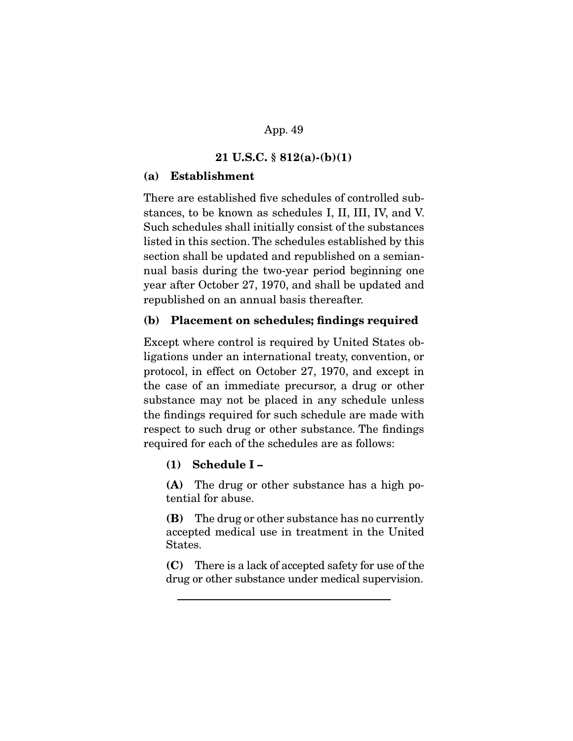#### **21 U.S.C. § 812(a)-(b)(1)**

#### **(a) Establishment**

There are established five schedules of controlled substances, to be known as schedules I, II, III, IV, and V. Such schedules shall initially consist of the substances listed in this section. The schedules established by this section shall be updated and republished on a semiannual basis during the two-year period beginning one year after October 27, 1970, and shall be updated and republished on an annual basis thereafter.

#### **(b) Placement on schedules; findings required**

Except where control is required by United States obligations under an international treaty, convention, or protocol, in effect on October 27, 1970, and except in the case of an immediate precursor, a drug or other substance may not be placed in any schedule unless the findings required for such schedule are made with respect to such drug or other substance. The findings required for each of the schedules are as follows:

#### **(1) Schedule I –**

**(A)** The drug or other substance has a high potential for abuse.

**(B)** The drug or other substance has no currently accepted medical use in treatment in the United States.

**(C)** There is a lack of accepted safety for use of the drug or other substance under medical supervision.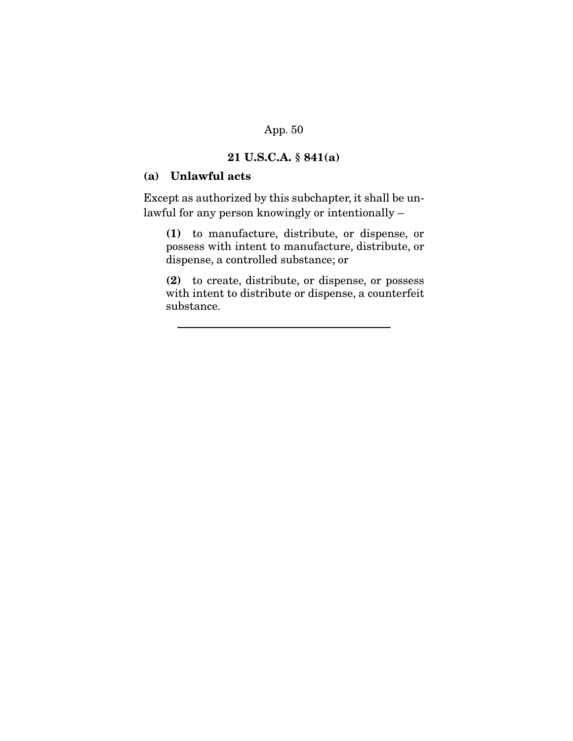# **21 U.S.C.A. § 841(a)**

## **(a) Unlawful acts**

Except as authorized by this subchapter, it shall be unlawful for any person knowingly or intentionally –

**(1)** to manufacture, distribute, or dispense, or possess with intent to manufacture, distribute, or dispense, a controlled substance; or

**(2)** to create, distribute, or dispense, or possess with intent to distribute or dispense, a counterfeit substance.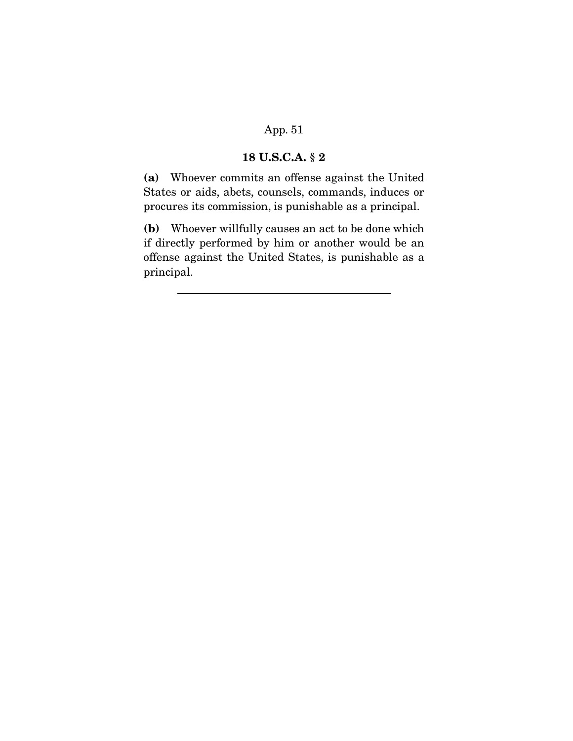## **18 U.S.C.A. § 2**

**(a)** Whoever commits an offense against the United States or aids, abets, counsels, commands, induces or procures its commission, is punishable as a principal.

**(b)** Whoever willfully causes an act to be done which if directly performed by him or another would be an offense against the United States, is punishable as a principal.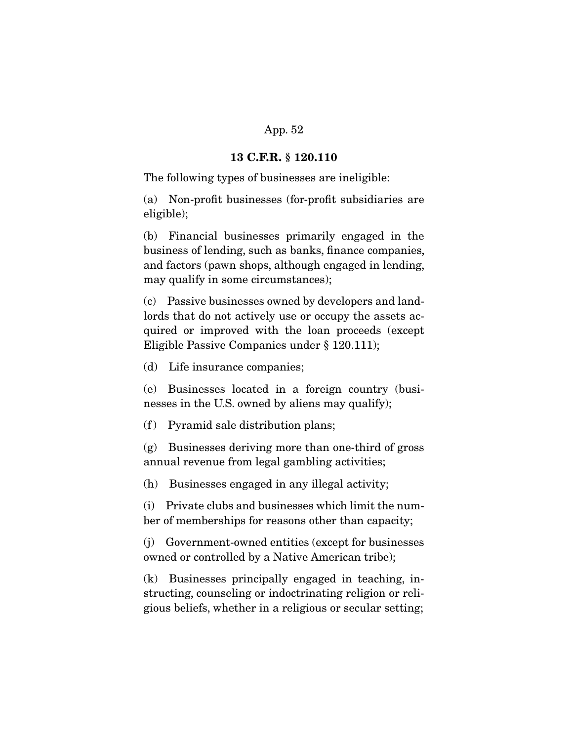#### **13 C.F.R. § 120.110**

The following types of businesses are ineligible:

(a) Non-profit businesses (for-profit subsidiaries are eligible);

(b) Financial businesses primarily engaged in the business of lending, such as banks, finance companies, and factors (pawn shops, although engaged in lending, may qualify in some circumstances);

(c) Passive businesses owned by developers and landlords that do not actively use or occupy the assets acquired or improved with the loan proceeds (except Eligible Passive Companies under § 120.111);

(d) Life insurance companies;

(e) Businesses located in a foreign country (businesses in the U.S. owned by aliens may qualify);

 $(f)$  Pyramid sale distribution plans;

(g) Businesses deriving more than one-third of gross annual revenue from legal gambling activities;

(h) Businesses engaged in any illegal activity;

(i) Private clubs and businesses which limit the number of memberships for reasons other than capacity;

(j) Government-owned entities (except for businesses owned or controlled by a Native American tribe);

(k) Businesses principally engaged in teaching, instructing, counseling or indoctrinating religion or religious beliefs, whether in a religious or secular setting;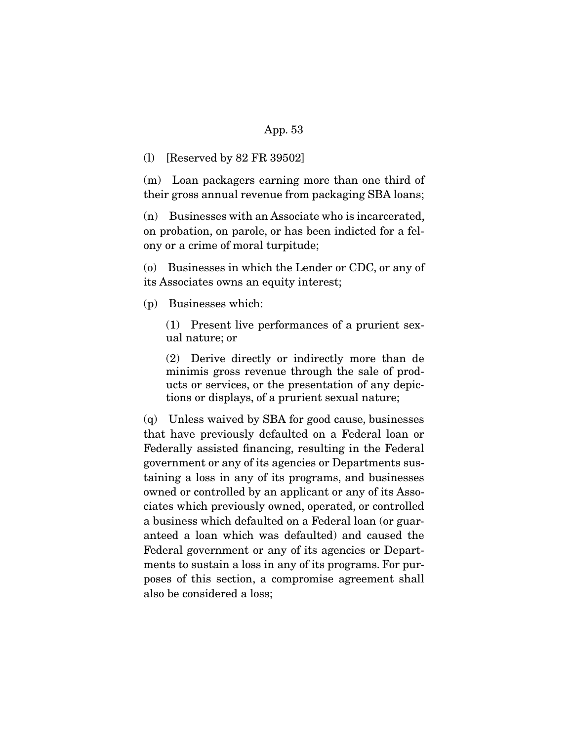#### (l) [Reserved by 82 FR 39502]

(m) Loan packagers earning more than one third of their gross annual revenue from packaging SBA loans;

(n) Businesses with an Associate who is incarcerated, on probation, on parole, or has been indicted for a felony or a crime of moral turpitude;

(o) Businesses in which the Lender or CDC, or any of its Associates owns an equity interest;

(p) Businesses which:

(1) Present live performances of a prurient sexual nature; or

(2) Derive directly or indirectly more than de minimis gross revenue through the sale of products or services, or the presentation of any depictions or displays, of a prurient sexual nature;

(q) Unless waived by SBA for good cause, businesses that have previously defaulted on a Federal loan or Federally assisted financing, resulting in the Federal government or any of its agencies or Departments sustaining a loss in any of its programs, and businesses owned or controlled by an applicant or any of its Associates which previously owned, operated, or controlled a business which defaulted on a Federal loan (or guaranteed a loan which was defaulted) and caused the Federal government or any of its agencies or Departments to sustain a loss in any of its programs. For purposes of this section, a compromise agreement shall also be considered a loss;